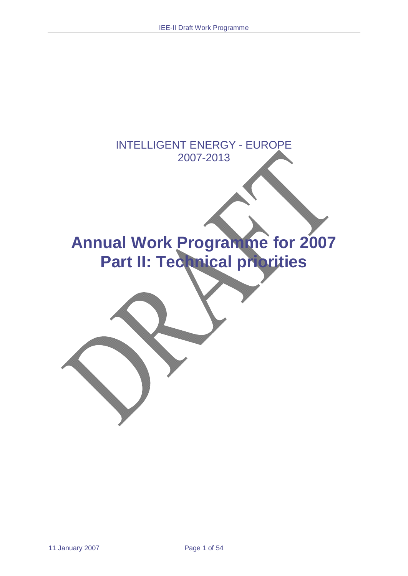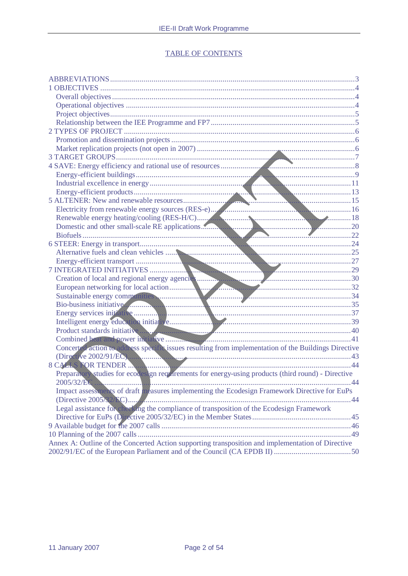# **TABLE OF CONTENTS**

| Creation of local and regional energy agencies and the contract of local action and the contract of the contract of the contract of the contract of the contract of the contract of the contract of the contract of the contra |  |
|--------------------------------------------------------------------------------------------------------------------------------------------------------------------------------------------------------------------------------|--|
|                                                                                                                                                                                                                                |  |
|                                                                                                                                                                                                                                |  |
|                                                                                                                                                                                                                                |  |
|                                                                                                                                                                                                                                |  |
|                                                                                                                                                                                                                                |  |
| Product standards initiative and the contract of the contract of the contract of the contract of the contract of the contract of the contract of the contract of the contract of the contract of the contract of the contract  |  |
|                                                                                                                                                                                                                                |  |
| Concerte Laction to address specific issues resulting from implementation of the Buildings Directive                                                                                                                           |  |
| (Directive 2002/91/EC)                                                                                                                                                                                                         |  |
|                                                                                                                                                                                                                                |  |
| Preparatory studies for ecodesign requirements for energy-using products (third round) - Directive                                                                                                                             |  |
|                                                                                                                                                                                                                                |  |
| Impact assessments of draft measures implementing the Ecodesign Framework Directive for EuPs                                                                                                                                   |  |
| $(Directive 2005 \& 270) \dots$                                                                                                                                                                                                |  |
| Legal assistance for checking the compliance of transposition of the Ecodesign Framework                                                                                                                                       |  |
|                                                                                                                                                                                                                                |  |
|                                                                                                                                                                                                                                |  |
|                                                                                                                                                                                                                                |  |
| Annex A: Outline of the Concerted Action supporting transposition and implementation of Directive                                                                                                                              |  |
|                                                                                                                                                                                                                                |  |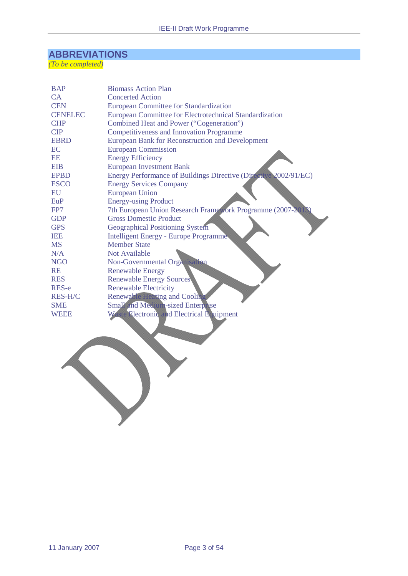# **ABBREVIATIONS**

*(To be completed)*

| <b>BAP</b>     | <b>Biomass Action Plan</b>                                       |
|----------------|------------------------------------------------------------------|
| CA             | <b>Concerted Action</b>                                          |
| <b>CEN</b>     | <b>European Committee for Standardization</b>                    |
| <b>CENELEC</b> | European Committee for Electrotechnical Standardization          |
| <b>CHP</b>     | Combined Heat and Power ("Cogeneration")                         |
| <b>CIP</b>     | <b>Competitiveness and Innovation Programme</b>                  |
| <b>EBRD</b>    | European Bank for Reconstruction and Development                 |
| EC             | <b>European Commission</b>                                       |
| <b>EE</b>      | <b>Energy Efficiency</b>                                         |
| <b>EIB</b>     | <b>European Investment Bank</b>                                  |
| <b>EPBD</b>    | Energy Performance of Buildings Directive (Directive 2002/91/EC) |
| <b>ESCO</b>    | <b>Energy Services Company</b>                                   |
| EU             | <b>European Union</b>                                            |
| EuP            | <b>Energy-using Product</b>                                      |
| FP7            | 7th European Union Research Framework Programme (2007-20)        |
| <b>GDP</b>     | <b>Gross Domestic Product</b>                                    |
| <b>GPS</b>     | <b>Geographical Positioning System</b>                           |
| <b>IEE</b>     | Intelligent Energy - Europe Programme                            |
| <b>MS</b>      | <b>Member State</b>                                              |
| N/A            | Not Available                                                    |
| <b>NGO</b>     | Non-Governmental Organisation                                    |
| <b>RE</b>      | <b>Renewable Energy</b>                                          |
| <b>RES</b>     | <b>Renewable Energy Sources</b>                                  |
| RES-e          | <b>Renewable Electricity</b>                                     |
| <b>RES-H/C</b> | <b>Renewable Heating and Cooling</b>                             |
| <b>SME</b>     | Small and Medium-sized Enterprise                                |
| WEEE           | Waste Electronic and Electrical Equipment                        |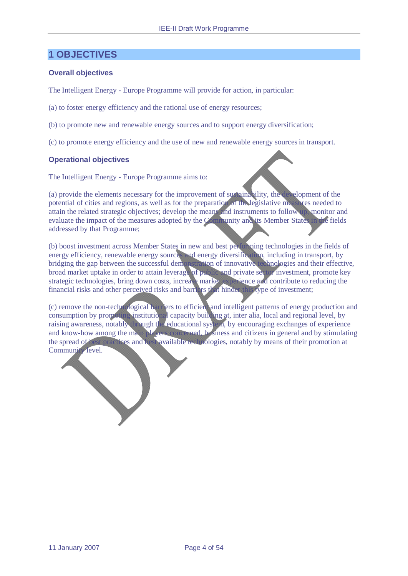# **1 OBJECTIVES**

### **Overall objectives**

The Intelligent Energy - Europe Programme will provide for action, in particular:

(a) to foster energy efficiency and the rational use of energy resources;

(b) to promote new and renewable energy sources and to support energy diversification;

(c) to promote energy efficiency and the use of new and renewable energy sources in transport.

#### **Operational objectives**

The Intelligent Energy - Europe Programme aims to:

(a) provide the elements necessary for the improvement of sustainability, the development of the potential of cities and regions, as well as for the preparation of the legislative measures needed to attain the related strategic objectives; develop the means and instruments to follow up, monitor and evaluate the impact of the measures adopted by the Community and its Member States in the fields addressed by that Programme;

(b) boost investment across Member States in new and best performing technologies in the fields of energy efficiency, renewable energy sources and energy diversification, including in transport, by bridging the gap between the successful demonstration of innovative technologies and their effective, broad market uptake in order to attain leverage of public and private sector investment, promote key strategic technologies, bring down costs, increase market experience and contribute to reducing the financial risks and other perceived risks and barriers that hinder this type of investment;

(c) remove the non-technological barriers to efficient and intelligent patterns of energy production and consumption by promoting institutional capacity building at, inter alia, local and regional level, by raising awareness, notably through the educational system, by encouraging exchanges of experience and know-how among the main players concerned, business and citizens in general and by stimulating the spread of best practices and best available technologies, notably by means of their promotion at Community level.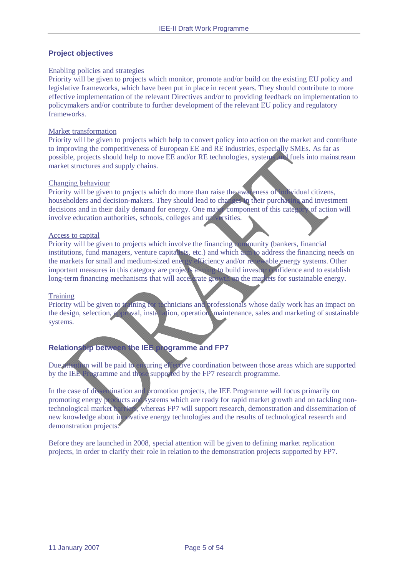## **Project objectives**

#### Enabling policies and strategies

Priority will be given to projects which monitor, promote and/or build on the existing EU policy and legislative frameworks, which have been put in place in recent years. They should contribute to more effective implementation of the relevant Directives and/or to providing feedback on implementation to policymakers and/or contribute to further development of the relevant EU policy and regulatory frameworks.

#### Market transformation

Priority will be given to projects which help to convert policy into action on the market and contribute to improving the competitiveness of European EE and RE industries, especially SMEs. As far as possible, projects should help to move EE and/or RE technologies, systems and fuels into mainstream market structures and supply chains.

#### Changing behaviour

Priority will be given to projects which do more than raise the awareness of individual citizens, householders and decision-makers. They should lead to changes in their purchasing and investment decisions and in their daily demand for energy. One major component of this category of action will involve education authorities, schools, colleges and universities.

#### Access to capital

Priority will be given to projects which involve the financing community (bankers, financial institutions, fund managers, venture capitalists, etc.) and which aim to address the financing needs on the markets for small and medium-sized energy efficiency and/or renewable energy systems. Other important measures in this category are projects aiming to build investor confidence and to establish long-term financing mechanisms that will accelerate growth on the markets for sustainable energy.

#### **Training**

Priority will be given to training for technicians and professionals whose daily work has an impact on the design, selection, approval, installation, operation, maintenance, sales and marketing of sustainable systems.

# **Relationship between the IEE programme and FP7**

Due attention will be paid to ensuring effective coordination between those areas which are supported by the IEE Programme and those supported by the FP7 research programme.

In the case of dissemination and promotion projects, the IEE Programme will focus primarily on promoting energy products and systems which are ready for rapid market growth and on tackling nontechnological market barriers, whereas FP7 will support research, demonstration and dissemination of new knowledge about in povative energy technologies and the results of technological research and demonstration projects.

Before they are launched in 2008, special attention will be given to defining market replication projects, in order to clarify their role in relation to the demonstration projects supported by FP7.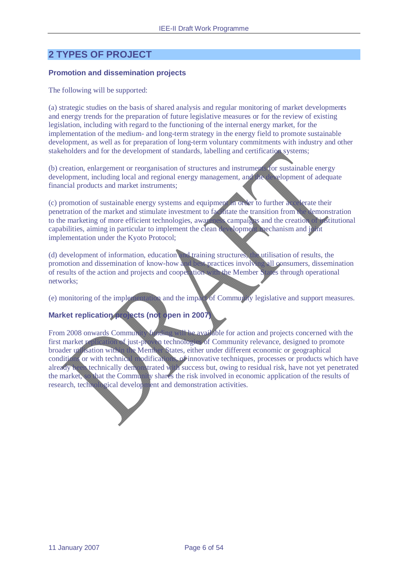# **2 TYPES OF PROJECT**

#### **Promotion and dissemination projects**

The following will be supported:

(a) strategic studies on the basis of shared analysis and regular monitoring of market developments and energy trends for the preparation of future legislative measures or for the review of existing legislation, including with regard to the functioning of the internal energy market, for the implementation of the medium- and long-term strategy in the energy field to promote sustainable development, as well as for preparation of long-term voluntary commitments with industry and other stakeholders and for the development of standards, labelling and certification systems;

(b) creation, enlargement or reorganisation of structures and instruments for sustainable energy development, including local and regional energy management, and the development of adequate financial products and market instruments;

(c) promotion of sustainable energy systems and equipment in order to further accelerate their penetration of the market and stimulate investment to facilitate the transition from the demonstration to the marketing of more efficient technologies, awareness campaigns and the creation of institutional capabilities, aiming in particular to implement the clean development mechanism and joint implementation under the Kyoto Protocol;

(d) development of information, education and training structures, the utilisation of results, the promotion and dissemination of know-how and best practices involving all consumers, dissemination of results of the action and projects and cooperation with the Member States through operational networks;

(e) monitoring of the implementation and the impact of Community legislative and support measures.

# **Market replication projects (not open in 2007)**

From 2008 onwards Community funding will be available for action and projects concerned with the first market replication of just-proven technologies of Community relevance, designed to promote broader utilisation within the Member States, either under different economic or geographical conditions or with technical modifications, of innovative techniques, processes or products which have already been technically demonstrated with success but, owing to residual risk, have not yet penetrated the market, so that the Community shares the risk involved in economic application of the results of research, technological development and demonstration activities.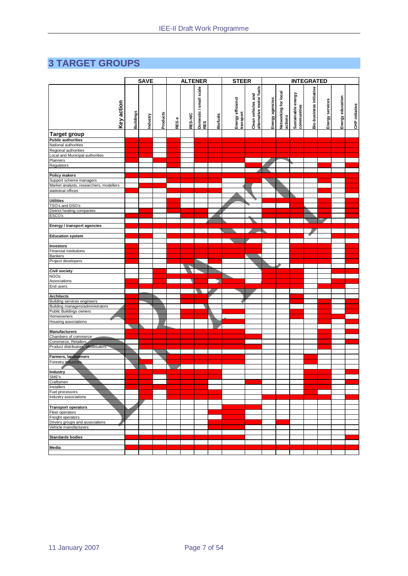# **3 TARGET GROUPS**

|                                                                 | <b>SAVE</b>      |          | <b>ALTENER</b>  |       | <b>STEER</b> |                               | <b>INTEGRATED</b> |                                |                                               |                 |                                 |                                   |                         |                 |                  |                |
|-----------------------------------------------------------------|------------------|----------|-----------------|-------|--------------|-------------------------------|-------------------|--------------------------------|-----------------------------------------------|-----------------|---------------------------------|-----------------------------------|-------------------------|-----------------|------------------|----------------|
| Key action                                                      | <b>Buildings</b> | Industry | <b>Products</b> | RES-e | RES-H/C      | Domestic / small scale<br>RES | Biofuels          | Energy efficienct<br>transport | alternative motor fuels<br>Clean vehicles and | Energy agencies | Networking for local<br>actions | Sustainable energy<br>communities | Bio-business initiative | Energy services | Energy education | CHP initiative |
| <b>Target group</b>                                             |                  |          |                 |       |              |                               |                   |                                |                                               |                 |                                 |                                   |                         |                 |                  |                |
| <b>Public authorities</b>                                       |                  |          |                 |       |              |                               |                   |                                |                                               |                 |                                 |                                   |                         |                 |                  |                |
| National authorities                                            |                  |          |                 |       |              |                               |                   |                                |                                               |                 |                                 |                                   |                         |                 |                  |                |
| Regional authorities<br>Local and Municipal authorities         |                  |          |                 |       |              |                               |                   |                                |                                               |                 |                                 |                                   |                         |                 |                  |                |
| Planners                                                        |                  |          |                 |       |              |                               |                   |                                |                                               |                 |                                 |                                   |                         |                 |                  |                |
| Regulators                                                      |                  |          |                 |       |              |                               |                   |                                |                                               |                 |                                 |                                   |                         |                 |                  |                |
|                                                                 |                  |          |                 |       |              |                               |                   |                                |                                               |                 |                                 |                                   |                         |                 |                  |                |
| Policy makers                                                   |                  |          |                 |       |              |                               |                   |                                |                                               |                 |                                 |                                   |                         |                 |                  |                |
| Support scheme managers                                         |                  |          |                 |       |              |                               |                   |                                |                                               |                 |                                 |                                   |                         |                 |                  |                |
| Market analysts, researchers, modellers<br>statistical offices  |                  |          |                 |       |              |                               |                   |                                |                                               |                 |                                 |                                   |                         |                 |                  |                |
|                                                                 |                  |          |                 |       |              |                               |                   |                                |                                               |                 |                                 |                                   |                         |                 |                  |                |
| <b>Utilities</b>                                                |                  |          |                 |       |              |                               |                   |                                |                                               |                 |                                 |                                   |                         |                 |                  |                |
| TSO's and DSO's                                                 |                  |          |                 |       |              |                               |                   |                                |                                               |                 |                                 |                                   |                         |                 |                  |                |
| District heating companies                                      |                  |          |                 |       |              |                               |                   |                                |                                               |                 |                                 |                                   |                         |                 |                  |                |
| ESCO's                                                          |                  |          |                 |       |              |                               |                   |                                |                                               |                 |                                 |                                   |                         |                 |                  |                |
| Energy / transport agencies                                     |                  |          |                 |       |              |                               |                   |                                |                                               |                 |                                 |                                   |                         |                 |                  |                |
|                                                                 |                  |          |                 |       |              |                               |                   |                                |                                               |                 |                                 |                                   |                         |                 |                  |                |
| <b>Education system</b>                                         |                  |          |                 |       |              |                               |                   |                                |                                               |                 |                                 |                                   |                         |                 |                  |                |
| <b>Investors</b>                                                |                  |          |                 |       |              |                               |                   |                                |                                               |                 |                                 |                                   |                         |                 |                  |                |
| Financial institutions                                          |                  |          |                 |       |              |                               |                   |                                |                                               |                 |                                 |                                   |                         |                 |                  |                |
| Bankers                                                         |                  |          |                 |       |              |                               |                   |                                |                                               |                 |                                 |                                   |                         |                 |                  |                |
| Project developers                                              |                  |          |                 |       |              |                               |                   |                                |                                               |                 |                                 |                                   |                         |                 |                  |                |
| Civil society                                                   |                  |          |                 |       |              |                               |                   |                                |                                               |                 |                                 |                                   |                         |                 |                  |                |
| <b>NGOs</b>                                                     |                  |          |                 |       |              |                               |                   |                                |                                               |                 |                                 |                                   |                         |                 |                  |                |
| Associations                                                    |                  |          |                 |       |              |                               |                   |                                |                                               |                 |                                 |                                   |                         |                 |                  |                |
| End users                                                       |                  |          |                 |       |              |                               |                   |                                |                                               |                 |                                 |                                   |                         |                 |                  |                |
|                                                                 |                  |          |                 |       |              |                               |                   |                                |                                               |                 |                                 |                                   |                         |                 |                  |                |
| <b>Architects</b>                                               |                  |          |                 |       |              |                               |                   |                                |                                               |                 |                                 |                                   |                         |                 |                  |                |
| Building services engineers<br>Building managers/administrators |                  |          |                 |       |              |                               |                   |                                |                                               |                 |                                 |                                   |                         |                 |                  |                |
| Public Buildings owners                                         |                  |          |                 |       |              |                               |                   |                                |                                               |                 |                                 |                                   |                         |                 |                  |                |
| Homeowners                                                      |                  |          |                 |       |              |                               |                   |                                |                                               |                 |                                 |                                   |                         |                 |                  |                |
| Housing associations                                            |                  |          |                 |       |              |                               |                   |                                |                                               |                 |                                 |                                   |                         |                 |                  |                |
|                                                                 |                  |          |                 |       |              |                               |                   |                                |                                               |                 |                                 |                                   |                         |                 |                  |                |
| <b>Manufacturers</b><br>Chambers of commerce                    |                  |          |                 |       |              |                               |                   |                                |                                               |                 |                                 |                                   |                         |                 |                  |                |
| Commerce, Retailers                                             |                  |          |                 |       |              |                               |                   |                                |                                               |                 |                                 |                                   |                         |                 |                  |                |
| Product distributors, wholesalers                               |                  |          |                 |       |              |                               |                   |                                |                                               |                 |                                 |                                   |                         |                 |                  |                |
|                                                                 |                  |          |                 |       |              |                               |                   |                                |                                               |                 |                                 |                                   |                         |                 |                  |                |
| Farmers, landowners                                             |                  |          |                 |       |              |                               |                   |                                |                                               |                 |                                 |                                   |                         |                 |                  |                |
| <b>Forestry industries</b>                                      |                  |          |                 |       |              |                               |                   |                                |                                               |                 |                                 |                                   |                         |                 |                  |                |
| <b>Industry</b>                                                 |                  |          |                 |       |              |                               |                   |                                |                                               |                 |                                 |                                   |                         |                 |                  |                |
| SME's                                                           |                  |          |                 |       |              |                               |                   |                                |                                               |                 |                                 |                                   |                         |                 |                  |                |
| Craftsmen                                                       |                  |          |                 |       |              |                               |                   |                                |                                               |                 |                                 |                                   |                         |                 |                  |                |
| Installers                                                      |                  |          |                 |       |              |                               |                   |                                |                                               |                 |                                 |                                   |                         |                 |                  |                |
| Fuel processors<br>Industry associations                        |                  |          |                 |       |              |                               |                   |                                |                                               |                 |                                 |                                   |                         |                 |                  |                |
|                                                                 |                  |          |                 |       |              |                               |                   |                                |                                               |                 |                                 |                                   |                         |                 |                  |                |
| <b>Transport operators</b>                                      |                  |          |                 |       |              |                               |                   |                                |                                               |                 |                                 |                                   |                         |                 |                  |                |
| Fleet operators                                                 |                  |          |                 |       |              |                               |                   |                                |                                               |                 |                                 |                                   |                         |                 |                  |                |
| Freight operators                                               |                  |          |                 |       |              |                               |                   |                                |                                               |                 |                                 |                                   |                         |                 |                  |                |
| Drivers groups and associations                                 |                  |          |                 |       |              |                               |                   |                                |                                               |                 |                                 |                                   |                         |                 |                  |                |
| Vehicle manufacturers                                           |                  |          |                 |       |              |                               |                   |                                |                                               |                 |                                 |                                   |                         |                 |                  |                |
| <b>Standards bodies</b>                                         |                  |          |                 |       |              |                               |                   |                                |                                               |                 |                                 |                                   |                         |                 |                  |                |
|                                                                 |                  |          |                 |       |              |                               |                   |                                |                                               |                 |                                 |                                   |                         |                 |                  |                |
| Media                                                           |                  |          |                 |       |              |                               |                   |                                |                                               |                 |                                 |                                   |                         |                 |                  |                |
|                                                                 |                  |          |                 |       |              |                               |                   |                                |                                               |                 |                                 |                                   |                         |                 |                  |                |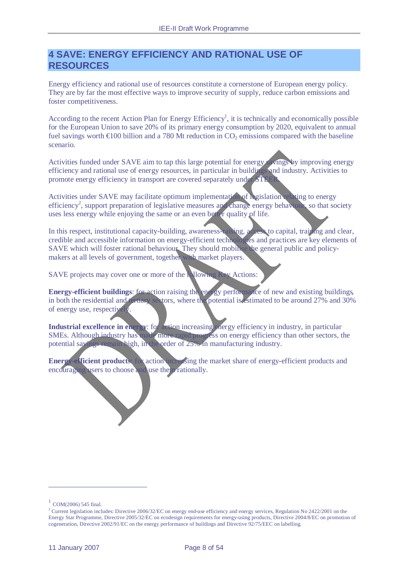# **4 SAVE: ENERGY EFFICIENCY AND RATIONAL USE OF RESOURCES**

Energy efficiency and rational use of resources constitute a cornerstone of European energy policy. They are by far the most effective ways to improve security of supply, reduce carbon emissions and foster competitiveness.

According to the recent Action Plan for Energy Efficiency<sup>1</sup>, it is technically and economically possible for the European Union to save 20% of its primary energy consumption by 2020, equivalent to annual fuel savings worth  $\epsilon$ 100 billion and a 780 Mt reduction in CO<sub>2</sub> emissions compared with the baseline scenario.

Activities funded under SAVE aim to tap this large potential for energy savings by improving energy efficiency and rational use of energy resources, in particular in buildings and industry. Activities to promote energy efficiency in transport are covered separately under STEE

Activities under SAVE may facilitate optimum implementation of legislation relating to energy efficiency<sup>2</sup>, support preparation of legislative measures and change energy behaviour, so that society uses less energy while enjoying the same or an even better quality of life.

In this respect, institutional capacity-building, awareness-raising, access to capital, training and clear, credible and accessible information on energy-efficient technologies and practices are key elements of SAVE which will foster rational behaviour. They should mobilise the general public and policymakers at all levels of government, together with market players.

SAVE projects may cover one or more of the following Key Actions:

**Energy-efficient buildings**: for action raising the energy performance of new and existing buildings, in both the residential and tertiary sectors, where the potential is estimated to be around 27% and 30% of energy use, respectively.

**Industrial excellence in energy**: for action increasing energy efficiency in industry, in particular SMEs. Although industry has made more rapid progress on energy efficiency than other sectors, the potential savings remain high, in the order of 25% in manufacturing industry.

**Energy-efficient products**: for action increasing the market share of energy-efficient products and encouraging users to choose and use them rationally.

 $\overline{a}$ 

 $1$  COM(2006) 545 final.

<sup>&</sup>lt;sup>2</sup> Current legislation includes: Directive 2006/32/EC on energy end-use efficiency and energy services, Regulation No 2422/2001 on the Energy Star Programme, Directive 2005/32/EC on ecodesign requirements for energy-using products, Directive 2004/8/EC on promotion of cogeneration, Directive 2002/91/EC on the energy performance of buildings and Directive 92/75/EEC on labelling.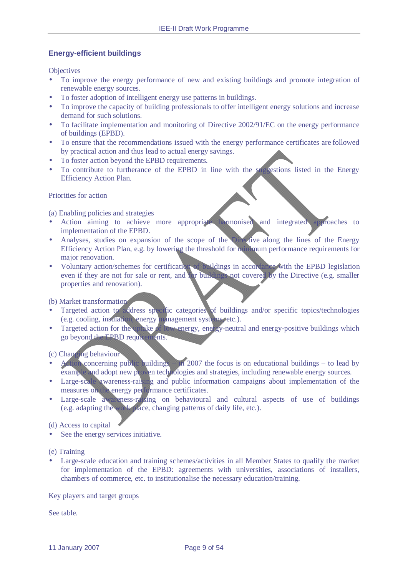# **Energy-efficient buildings**

**Objectives** 

- To improve the energy performance of new and existing buildings and promote integration of renewable energy sources.
- To foster adoption of intelligent energy use patterns in buildings.
- To improve the capacity of building professionals to offer intelligent energy solutions and increase demand for such solutions.
- To facilitate implementation and monitoring of Directive 2002/91/EC on the energy performance of buildings (EPBD).
- To ensure that the recommendations issued with the energy performance certificates are followed by practical action and thus lead to actual energy savings.
- To foster action beyond the EPBD requirements.
- To contribute to furtherance of the EPBD in line with the suggestions listed in the Energy Efficiency Action Plan.

#### Priorities for action

(a) Enabling policies and strategies

- Action aiming to achieve more appropriate harmonised and integrated approaches to implementation of the EPBD.
- Analyses, studies on expansion of the scope of the Directive along the lines of the Energy Efficiency Action Plan, e.g. by lowering the threshold for minimum performance requirements for major renovation.
- Voluntary action/schemes for certification of buildings in accordance with the EPBD legislation even if they are not for sale or rent, and for buildings not covered by the Directive (e.g. smaller properties and renovation).

#### (b) Market transformation

- Targeted action to address specific categories of buildings and/or specific topics/technologies (e.g. cooling, insulation, energy management systems, etc.).
- Targeted action for the uptake of low-energy, energy-neutral and energy-positive buildings which go beyond the EPBD requirements.

# (c) Changing behaviour

- Action concerning public buildings in 2007 the focus is on educational buildings to lead by example and adopt new proven technologies and strategies, including renewable energy sources.
- Large-scale awareness-raising and public information campaigns about implementation of the measures on the energy performance certificates.
- Large-scale awareness-raising on behavioural and cultural aspects of use of buildings (e.g. adapting the work place, changing patterns of daily life, etc.).

#### (d) Access to capital

- See the energy services initiative.
- (e) Training
- Large-scale education and training schemes/activities in all Member States to qualify the market for implementation of the EPBD: agreements with universities, associations of installers, chambers of commerce, etc. to institutionalise the necessary education/training.

#### Key players and target groups

See table.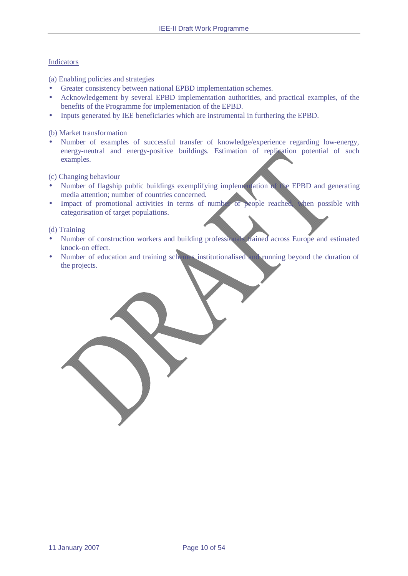### **Indicators**

(a) Enabling policies and strategies

- Greater consistency between national EPBD implementation schemes.
- Acknowledgement by several EPBD implementation authorities, and practical examples, of the benefits of the Programme for implementation of the EPBD.
- Inputs generated by IEE beneficiaries which are instrumental in furthering the EPBD.

(b) Market transformation

• Number of examples of successful transfer of knowledge/experience regarding low-energy, energy-neutral and energy-positive buildings. Estimation of replication potential of such examples.

(c) Changing behaviour

- Number of flagship public buildings exemplifying implementation of the EPBD and generating media attention; number of countries concerned.
- Impact of promotional activities in terms of number of people reached, when possible with categorisation of target populations.

#### (d) Training

- Number of construction workers and building professionals trained across Europe and estimated knock-on effect.
- Number of education and training schemes institutionalised and running beyond the duration of the projects.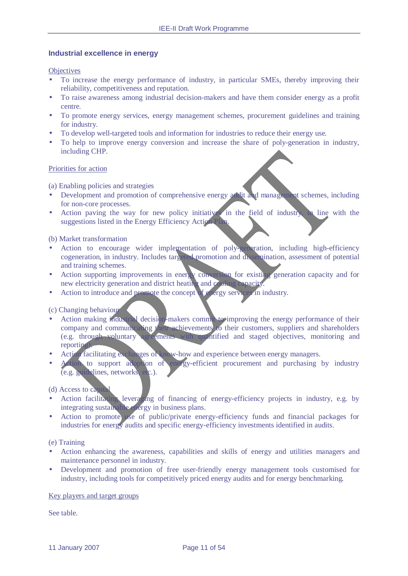#### **Industrial excellence in energy**

#### **Objectives**

- To increase the energy performance of industry, in particular SMEs, thereby improving their reliability, competitiveness and reputation.
- To raise awareness among industrial decision-makers and have them consider energy as a profit centre.
- To promote energy services, energy management schemes, procurement guidelines and training for industry.
- To develop well-targeted tools and information for industries to reduce their energy use.
- To help to improve energy conversion and increase the share of poly-generation in industry, including CHP.

#### Priorities for action

(a) Enabling policies and strategies

- Development and promotion of comprehensive energy addit and management schemes, including for non-core processes.
- Action paving the way for new policy initiatives in the field of industry, in line with the suggestions listed in the Energy Efficiency Action Plan.

#### (b) Market transformation

- Action to encourage wider implementation of poly-generation, including high-efficiency cogeneration, in industry. Includes targeted promotion and dissemination, assessment of potential and training schemes.
- Action supporting improvements in energy conversion for existing generation capacity and for new electricity generation and district heating and cooling capacity.
- Action to introduce and promote the concept of energy services in industry.

# (c) Changing behaviour

- Action making industrial decision-makers commit to improving the energy performance of their company and communicating their achievements to their customers, suppliers and shareholders (e.g. through voluntary agreements with quantified and staged objectives, monitoring and reporting).
- Action facilitating exchanges of know-how and experience between energy managers.
- Action to support adoption of energy-efficient procurement and purchasing by industry (e.g. guidelines, networks, etc.).

#### (d) Access to capital

- Action facilitating leveraging of financing of energy-efficiency projects in industry, e.g. by integrating sustainable energy in business plans.
- Action to promote use of public/private energy-efficiency funds and financial packages for industries for energy audits and specific energy-efficiency investments identified in audits.

#### (e) Training

- Action enhancing the awareness, capabilities and skills of energy and utilities managers and maintenance personnel in industry.
- Development and promotion of free user-friendly energy management tools customised for industry, including tools for competitively priced energy audits and for energy benchmarking.

#### Key players and target groups

See table.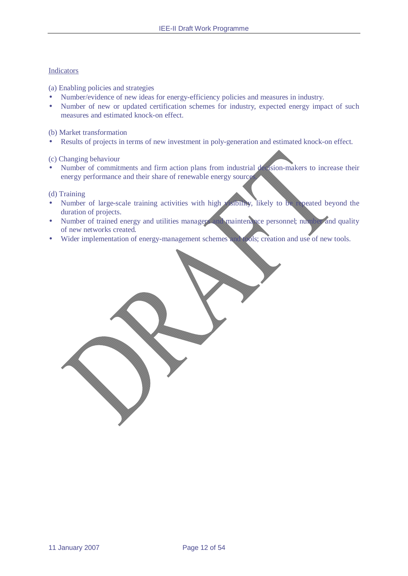#### Indicators

(a) Enabling policies and strategies

- Number/evidence of new ideas for energy-efficiency policies and measures in industry.
- Number of new or updated certification schemes for industry, expected energy impact of such measures and estimated knock-on effect.

(b) Market transformation

Results of projects in terms of new investment in poly-generation and estimated knock-on effect.

(c) Changing behaviour

• Number of commitments and firm action plans from industrial decision-makers to increase their energy performance and their share of renewable energy source

#### (d) Training

- Number of large-scale training activities with high visibility, likely to be repeated beyond the duration of projects.
- Number of trained energy and utilities managers and maintenance personnel; number and quality of new networks created.
- Wider implementation of energy-management schemes and tools; creation and use of new tools.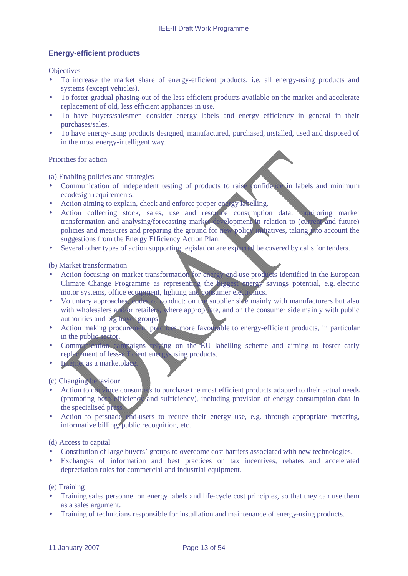# **Energy-efficient products**

**Objectives** 

- To increase the market share of energy-efficient products, i.e. all energy-using products and systems (except vehicles).
- To foster gradual phasing-out of the less efficient products available on the market and accelerate replacement of old, less efficient appliances in use.
- To have buyers/salesmen consider energy labels and energy efficiency in general in their purchases/sales.
- To have energy-using products designed, manufactured, purchased, installed, used and disposed of in the most energy-intelligent way.

#### Priorities for action

(a) Enabling policies and strategies

- Communication of independent testing of products to raise confidence in labels and minimum ecodesign requirements.
- Action aiming to explain, check and enforce proper energy labelling.
- Action collecting stock, sales, use and resource consumption data, monitoring market transformation and analysing/forecasting market development in relation to (current and future) policies and measures and preparing the ground for new policy initiatives, taking into account the suggestions from the Energy Efficiency Action Plan.
- Several other types of action supporting legislation are expected be covered by calls for tenders.

#### (b) Market transformation

- Action focusing on market transformation for energy end-use products identified in the European Climate Change Programme as representing the biggest energy savings potential, e.g. electric motor systems, office equipment, lighting and consumer electronics.
- Voluntary approaches, codes of conduct: on the supplier side mainly with manufacturers but also with wholesalers and or retailers, where appropriate, and on the consumer side mainly with public authorities and big buyer groups.
- Action making procurement practices more favourable to energy-efficient products, in particular in the public sector.
- Communication campaigns relying on the EU labelling scheme and aiming to foster early replacement of less-efficient energy-using products.
- Internet as a marketplace

#### (c) Changing behaviour

- Action to convince consumers to purchase the most efficient products adapted to their actual needs (promoting both efficiency and sufficiency), including provision of energy consumption data in the specialised pres-
- Action to persuade end-users to reduce their energy use, e.g. through appropriate metering, informative billing, public recognition, etc.

#### (d) Access to capital

- Constitution of large buyers' groups to overcome cost barriers associated with new technologies.
- Exchanges of information and best practices on tax incentives, rebates and accelerated depreciation rules for commercial and industrial equipment.

(e) Training

- Training sales personnel on energy labels and life-cycle cost principles, so that they can use them as a sales argument.
- Training of technicians responsible for installation and maintenance of energy-using products.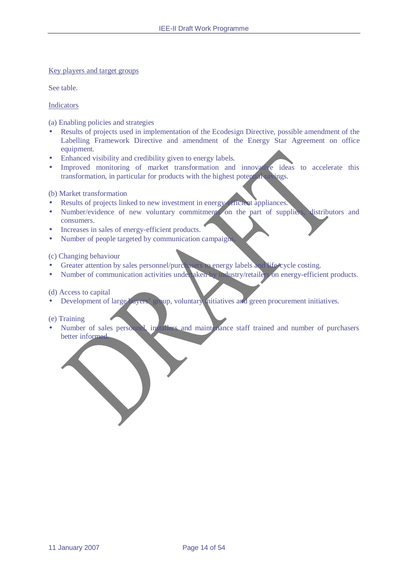#### Key players and target groups

See table.

Indicators

(a) Enabling policies and strategies

- Results of projects used in implementation of the Ecodesign Directive, possible amendment of the Labelling Framework Directive and amendment of the Energy Star Agreement on office equipment.
- Enhanced visibility and credibility given to energy labels.
- Improved monitoring of market transformation and innovative ideas to accelerate this transformation, in particular for products with the highest potential savings.

(b) Market transformation

- Results of projects linked to new investment in energy-efficient appliances.
- Number/evidence of new voluntary commitments on the part of suppliers, distributors and consumers.
- Increases in sales of energy-efficient products.
- Number of people targeted by communication campaign

(c) Changing behaviour

- Greater attention by sales personnel/purchasers to energy labels and life-cycle costing.
- Number of communication activities under aken by industry/retailers on energy-efficient products.

(d) Access to capital

• Development of large buyers' group, voluntary mitiatives and green procurement initiatives.

(e) Training

• Number of sales personnel, installers and maint nance staff trained and number of purchasers better informed.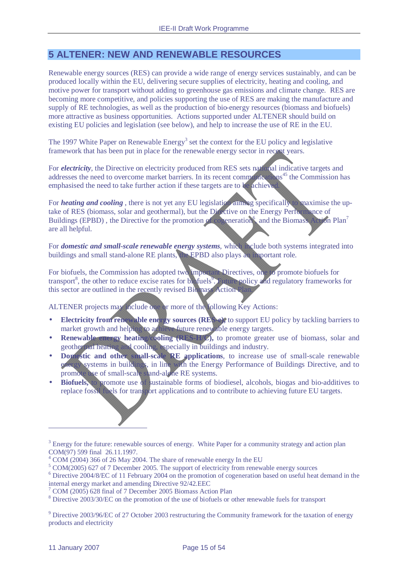# **5 ALTENER: NEW AND RENEWABLE RESOURCES**

Renewable energy sources (RES) can provide a wide range of energy services sustainably, and can be produced locally within the EU, delivering secure supplies of electricity, heating and cooling, and motive power for transport without adding to greenhouse gas emissions and climate change. RES are becoming more competitive, and policies supporting the use of RES are making the manufacture and supply of RE technologies, as well as the production of bio-energy resources (biomass and biofuels) more attractive as business opportunities. Actions supported under ALTENER should build on existing EU policies and legislation (see below), and help to increase the use of RE in the EU.

The 1997 White Paper on Renewable Energy<sup>3</sup> set the context for the EU policy and legislative framework that has been put in place for the renewable energy sector in recent years.

For *electricity*, the Directive on electricity produced from RES sets national indicative targets and addresses the need to overcome market barriers. In its recent communications<sup>45</sup> the Commission has emphasised the need to take further action if these targets are to be achieved.

For *heating and cooling*, there is not yet any EU legislation aiming specifically to maximise the uptake of RES (biomass, solar and geothermal), but the Directive on the Energy Performance of Buildings (EPBD), the Directive for the promotion of cogeneration<sup>6</sup> and the Biomass Action Plan<sup>7</sup> are all helpful.

For *domestic and small-scale renewable energy systems*, which include both systems integrated into buildings and small stand-alone RE plants, the EPBD also plays an important role.

For biofuels, the Commission has adopted two important Directives, one to promote biofuels for transport<sup>8</sup>, the other to reduce excise rates for biofuels<sup>9</sup>. Future policy and regulatory frameworks for this sector are outlined in the recently revised Biomass Action Plan.

ALTENER projects may include one or more of the following Key Actions:

- **Electricity from renewable energy sources (RES-e)**, to support EU policy by tackling barriers to market growth and helping to achieve future renewable energy targets.
- **Renewable energy heating/cooling (RES-H/C)**, to promote greater use of biomass, solar and geothermal heating and cooling, especially in buildings and industry.
- **Domestic and other small-scale RE applications**, to increase use of small-scale renewable energy systems in buildings, in line with the Energy Performance of Buildings Directive, and to promote use of small-scale stand-alone RE systems.
- **Biofuels,** to promote use of sustainable forms of biodiesel, alcohols, biogas and bio-additives to replace fossil fuels for transport applications and to contribute to achieving future EU targets.

 $9$  Directive 2003/96/EC of 27 October 2003 restructuring the Community framework for the taxation of energy products and electricity

 $\overline{a}$ 

<sup>&</sup>lt;sup>3</sup> Energy for the future: renewable sources of energy. White Paper for a community strategy and action plan COM(97) 599 final 26.11.1997.

<sup>4</sup> COM (2004) 366 of 26 May 2004. The share of renewable energy In the EU

<sup>5</sup> COM(2005) 627 of 7 December 2005. The support of electricity from renewable energy sources

<sup>&</sup>lt;sup>6</sup> Directive 2004/8/EC of 11 February 2004 on the promotion of cogeneration based on useful heat demand in the internal energy market and amending Directive 92/42.EEC

<sup>7</sup> COM (2005) 628 final of 7 December 2005 Biomass Action Plan

<sup>&</sup>lt;sup>8</sup> Directive 2003/30/EC on the promotion of the use of biofuels or other renewable fuels for transport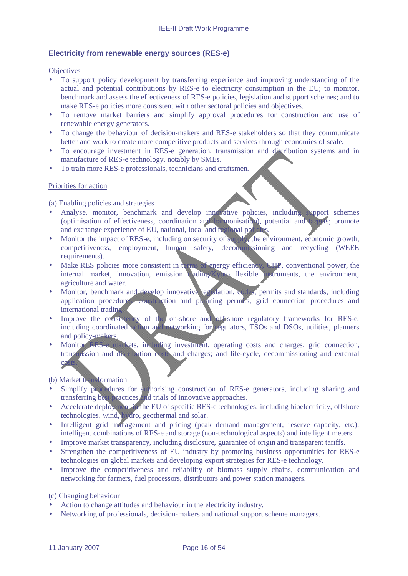#### **Electricity from renewable energy sources (RES-e)**

#### **Objectives**

- To support policy development by transferring experience and improving understanding of the actual and potential contributions by RES-e to electricity consumption in the EU; to monitor, benchmark and assess the effectiveness of RES-e policies, legislation and support schemes; and to make RES-e policies more consistent with other sectoral policies and objectives.
- To remove market barriers and simplify approval procedures for construction and use of renewable energy generators.
- To change the behaviour of decision-makers and RES-e stakeholders so that they communicate better and work to create more competitive products and services through economies of scale.
- To encourage investment in RES-e generation, transmission and distribution systems and in manufacture of RES-e technology, notably by SMEs.
- To train more RES-e professionals, technicians and craftsmen.

#### Priorities for action

(a) Enabling policies and strategies

- Analyse, monitor, benchmark and develop innovative policies, including support schemes (optimisation of effectiveness, coordination and harmonisation), potential and targets; promote and exchange experience of EU, national, local and regional policies.
- Monitor the impact of RES-e, including on security of supply, the environment, economic growth, competitiveness, employment, human safety, decommissioning and recycling (WEEE requirements).
- Make RES policies more consistent in terms of energy efficiency, CHP, conventional power, the internal market, innovation, emission trading/Kyoto flexible instruments, the environment, agriculture and water.
- Monitor, benchmark and develop innovative legislation, codes, permits and standards, including application procedures, construction and planning permits, grid connection procedures and international trading.
- Improve the consistency of the on-shore and off-shore regulatory frameworks for RES-e, including coordinated action and networking for regulators, TSOs and DSOs, utilities, planners and policy-makers.
- Monitor RES-e markets, including investment, operating costs and charges; grid connection, transmission and distribution costs and charges; and life-cycle, decommissioning and external cos

#### (b) Market transformation

- Simplify procedures for authorising construction of RES-e generators, including sharing and transferring best practices and trials of innovative approaches.
- Accelerate deployment in the EU of specific RES-e technologies, including bioelectricity, offshore technologies, wind, hydro, geothermal and solar.
- Intelligent grid management and pricing (peak demand management, reserve capacity, etc.), intelligent combinations of RES-e and storage (non-technological aspects) and intelligent meters.
- Improve market transparency, including disclosure, guarantee of origin and transparent tariffs.
- Strengthen the competitiveness of EU industry by promoting business opportunities for RES-e technologies on global markets and developing export strategies for RES-e technology.
- Improve the competitiveness and reliability of biomass supply chains, communication and networking for farmers, fuel processors, distributors and power station managers.

(c) Changing behaviour

- Action to change attitudes and behaviour in the electricity industry.
- Networking of professionals, decision-makers and national support scheme managers.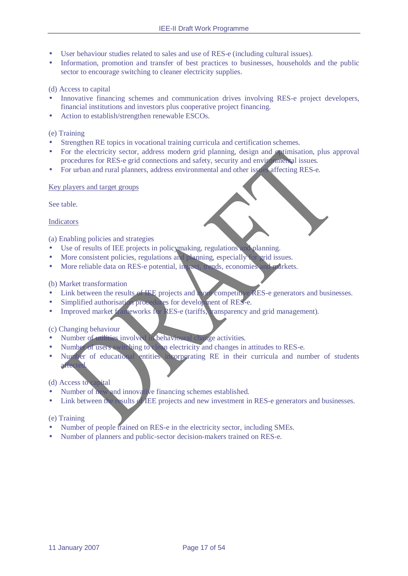- User behaviour studies related to sales and use of RES-e (including cultural issues).
- Information, promotion and transfer of best practices to businesses, households and the public sector to encourage switching to cleaner electricity supplies.

# (d) Access to capital

- Innovative financing schemes and communication drives involving RES-e project developers, financial institutions and investors plus cooperative project financing.
- Action to establish/strengthen renewable ESCOs.

### (e) Training

- Strengthen RE topics in vocational training curricula and certification schemes.
- For the electricity sector, address modern grid planning, design and optimisation, plus approval procedures for RES-e grid connections and safety, security and environmental issues.
- For urban and rural planners, address environmental and other issues affecting RES-e.

#### Key players and target groups

See table.

#### Indicators

(a) Enabling policies and strategies

- Use of results of IEE projects in policymaking, regulations and planning.
- More consistent policies, regulations and planning, especially for grid issues.
- More reliable data on RES-e potential, impact, trends, economies and markets.

# (b) Market transformation

- Link between the results of IEE projects and more competitive RES-e generators and businesses.
- Simplified authorisation procedures for development of RES-e.
- Improved market frameworks for RES-e (tariffs, transparency and grid management).

#### (c) Changing behaviour

- Number of utilities involved in behavioural change activities.
- Number of users switching to clean electricity and changes in attitudes to RES-e.
- Number of educational entities incorporating RE in their curricula and number of students affected.

## (d) Access to capital

- Number of new and innovative financing schemes established.
- Link between the results of IEE projects and new investment in RES-e generators and businesses.

# (e) Training

- Number of people trained on RES-e in the electricity sector, including SMEs.
- Number of planners and public-sector decision-makers trained on RES-e.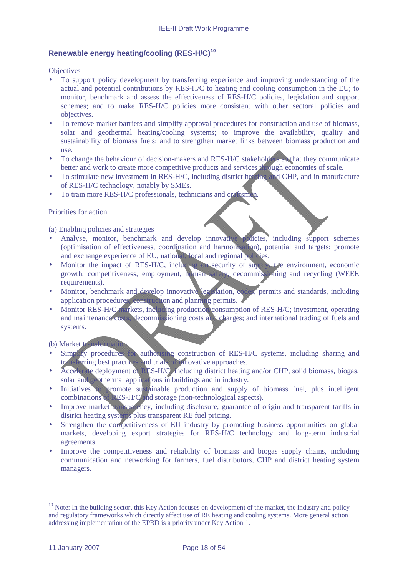# **Renewable energy heating/cooling (RES-H/C)<sup>10</sup>**

**Objectives** 

- To support policy development by transferring experience and improving understanding of the actual and potential contributions by RES-H/C to heating and cooling consumption in the EU; to monitor, benchmark and assess the effectiveness of RES-H/C policies, legislation and support schemes; and to make RES-H/C policies more consistent with other sectoral policies and objectives.
- To remove market barriers and simplify approval procedures for construction and use of biomass, solar and geothermal heating/cooling systems; to improve the availability, quality and sustainability of biomass fuels; and to strengthen market links between biomass production and use.
- To change the behaviour of decision-makers and RES-H/C stakeholders so that they communicate better and work to create more competitive products and services through economies of scale.
- To stimulate new investment in RES-H/C, including district heating and CHP, and in manufacture of RES-H/C technology, notably by SMEs.
- To train more RES-H/C professionals, technicians and craftsmen.

#### Priorities for action

(a) Enabling policies and strategies

- Analyse, monitor, benchmark and develop innovative policies, including support schemes (optimisation of effectiveness, coordination and harmonisation), potential and targets; promote and exchange experience of EU, national, local and regional policies.
- Monitor the impact of RES-H/C, including on security of supply, the environment, economic growth, competitiveness, employment, human safety, decommissioning and recycling (WEEE requirements).
- Monitor, benchmark and develop innovative legislation, codes, permits and standards, including application procedures, construction and planning permits.
- Monitor RES-H/C markets, including production consumption of RES-H/C; investment, operating and maintenance costs, decommissioning costs and charges; and international trading of fuels and systems.

#### (b) Market transformation

- Simply procedures for authorising construction of RES-H/C systems, including sharing and transferring best practices and trials of innovative approaches.
- Accelerate deployment of RES-H/C, including district heating and/or CHP, solid biomass, biogas, solar and geothermal applications in buildings and in industry.
- Initiatives to promote sustainable production and supply of biomass fuel, plus intelligent combinations of RES-H/C and storage (non-technological aspects).
- Improve market transparency, including disclosure, guarantee of origin and transparent tariffs in district heating systems plus transparent RE fuel pricing.
- Strengthen the competitiveness of EU industry by promoting business opportunities on global markets, developing export strategies for RES-H/C technology and long-term industrial agreements.
- Improve the competitiveness and reliability of biomass and biogas supply chains, including communication and networking for farmers, fuel distributors, CHP and district heating system managers.

 $\overline{a}$ 

 $10$  Note: In the building sector, this Key Action focuses on development of the market, the industry and policy and regulatory frameworks which directly affect use of RE heating and cooling systems. More general action addressing implementation of the EPBD is a priority under Key Action 1.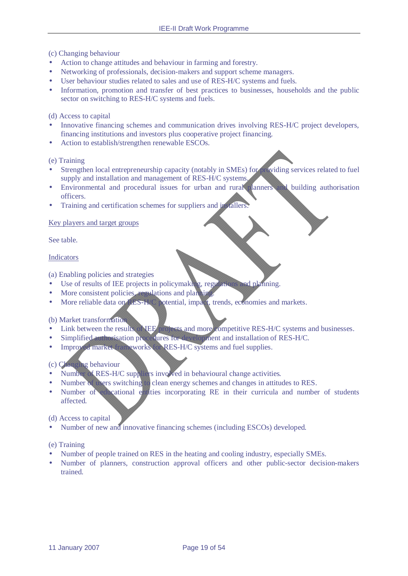(c) Changing behaviour

- Action to change attitudes and behaviour in farming and forestry.
- Networking of professionals, decision-makers and support scheme managers.
- User behaviour studies related to sales and use of RES-H/C systems and fuels.
- Information, promotion and transfer of best practices to businesses, households and the public sector on switching to RES-H/C systems and fuels.

(d) Access to capital

- Innovative financing schemes and communication drives involving RES-H/C project developers, financing institutions and investors plus cooperative project financing.
- Action to establish/strengthen renewable ESCOs.

(e) Training

- Strengthen local entrepreneurship capacity (notably in SMEs) for providing services related to fuel supply and installation and management of RES-H/C systems.
- Environmental and procedural issues for urban and rural planners and building authorisation officers.
- Training and certification schemes for suppliers and installers.

#### Key players and target groups

See table.

#### Indicators

(a) Enabling policies and strategies

- Use of results of IEE projects in policymaking, regulations and planning.
- More consistent policies, regulations and planning.
- More reliable data on RES-H/C potential, impact, trends, economies and markets.

### (b) Market transformation

- Link between the results of **IEE** projects and more competitive RES-H/C systems and businesses.
- Simplified authorisation procedures for development and installation of RES-H/C.
- Improved market frameworks for RES-H/C systems and fuel supplies.

(c) Changing behaviour

- Number of RES-H/C suppliers involved in behavioural change activities.
- Number of users switching to clean energy schemes and changes in attitudes to RES.
- Number of educational entities incorporating RE in their curricula and number of students affected.

(d) Access to capital

• Number of new and innovative financing schemes (including ESCOs) developed.

#### (e) Training

- Number of people trained on RES in the heating and cooling industry, especially SMEs.
- Number of planners, construction approval officers and other public-sector decision-makers trained.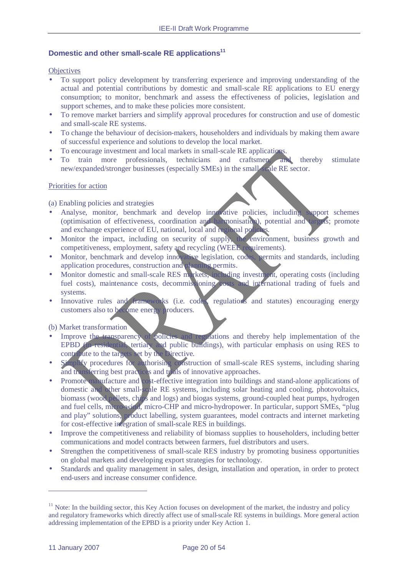## **Domestic and other small-scale RE applications<sup>11</sup>**

#### **Objectives**

- To support policy development by transferring experience and improving understanding of the actual and potential contributions by domestic and small-scale RE applications to EU energy consumption; to monitor, benchmark and assess the effectiveness of policies, legislation and support schemes, and to make these policies more consistent.
- To remove market barriers and simplify approval procedures for construction and use of domestic and small-scale RE systems.
- To change the behaviour of decision-makers, householders and individuals by making them aware of successful experience and solutions to develop the local market.
- To encourage investment and local markets in small-scale RE applications.
- To train more professionals, technicians and craftsmen, and thereby stimulate new/expanded/stronger businesses (especially SMEs) in the small-scale RE sector.

#### Priorities for action

(a) Enabling policies and strategies

- Analyse, monitor, benchmark and develop innovative policies, including support schemes (optimisation of effectiveness, coordination and harmonisation), potential and targets; promote and exchange experience of EU, national, local and regional polici
- Monitor the impact, including on security of supply, the environment, business growth and competitiveness, employment, safety and recycling (WEEE requirements).
- Monitor, benchmark and develop innovative legislation, codes, permits and standards, including application procedures, construction and planning permits.
- Monitor domestic and small-scale RES markets, including investment, operating costs (including fuel costs), maintenance costs, decommissioning costs and international trading of fuels and systems.
- Innovative rules and frameworks (i.e. codes regulations and statutes) encouraging energy customers also to become energy producers.

(b) Market transformation

- Improve the transparency of policies and regulations and thereby help implementation of the EPBD (in residential, tertiary and public buildings), with particular emphasis on using RES to contribute to the targets set by the Directive.
- Simplify procedures for authorising construction of small-scale RES systems, including sharing and transferring best practices and trials of innovative approaches.
- Promote manufacture and cost-effective integration into buildings and stand-alone applications of domestic and other small-scale RE systems, including solar heating and cooling, photovoltaics, biomass (wood pellets, chips and logs) and biogas systems, ground-coupled heat pumps, hydrogen and fuel cells, micro-wind, micro-CHP and micro-hydropower. In particular, support SMEs, "plug and play" solutions, product labelling, system guarantees, model contracts and internet marketing for cost-effective integration of small-scale RES in buildings.
- Improve the competitiveness and reliability of biomass supplies to householders, including better communications and model contracts between farmers, fuel distributors and users.
- Strengthen the competitiveness of small-scale RES industry by promoting business opportunities on global markets and developing export strategies for technology.
- Standards and quality management in sales, design, installation and operation, in order to protect end-users and increase consumer confidence.

 $\overline{a}$ 

 $11$  Note: In the building sector, this Key Action focuses on development of the market, the industry and policy and regulatory frameworks which directly affect use of small-scale RE systems in buildings. More general action addressing implementation of the EPBD is a priority under Key Action 1.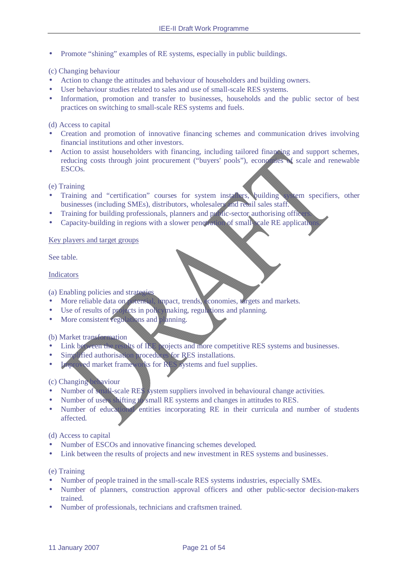• Promote "shining" examples of RE systems, especially in public buildings.

## (c) Changing behaviour

- Action to change the attitudes and behaviour of householders and building owners.
- User behaviour studies related to sales and use of small-scale RES systems.
- Information, promotion and transfer to businesses, households and the public sector of best practices on switching to small-scale RES systems and fuels.

(d) Access to capital

- Creation and promotion of innovative financing schemes and communication drives involving financial institutions and other investors.
- Action to assist householders with financing, including tailored financing and support schemes, reducing costs through joint procurement ("buyers' pools"), economies of scale and renewable ESCOs.

(e) Training

- Training and "certification" courses for system installers, building system specifiers, other businesses (including SMEs), distributors, wholesalers and retail sales staff.
- Training for building professionals, planners and public-sector authorising officers.
- Capacity-building in regions with a slower penetration of small-cale RE application

#### Key players and target groups

See table.

#### Indicators

(a) Enabling policies and strategies

- More reliable data on potential, impact, trends, economies, targets and markets.
- Use of results of projects in policy making, regulations and planning.
- More consistent regulations and planning.

(b) Market transformation

- Link between the results of IEE projects and more competitive RES systems and businesses.
- Simplified authorisation procedures for RES installations.
- **Improved market frameworks for RES systems and fuel supplies.**

### (c) Changing behaviour

- Number of small-scale RES system suppliers involved in behavioural change activities.
- Number of users shifting to small RE systems and changes in attitudes to RES.
- Number of educational entities incorporating RE in their curricula and number of students affected.

(d) Access to capital

- Number of ESCOs and innovative financing schemes developed.
- Link between the results of projects and new investment in RES systems and businesses.

(e) Training

- Number of people trained in the small-scale RES systems industries, especially SMEs.
- Number of planners, construction approval officers and other public-sector decision-makers trained.
- Number of professionals, technicians and craftsmen trained.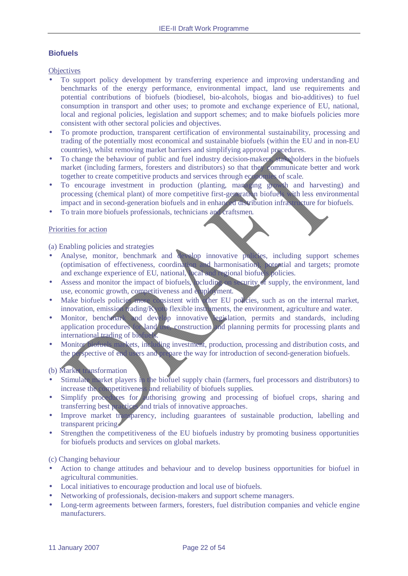# **Biofuels**

**Objectives** 

- To support policy development by transferring experience and improving understanding and benchmarks of the energy performance, environmental impact, land use requirements and potential contributions of biofuels (biodiesel, bio-alcohols, biogas and bio-additives) to fuel consumption in transport and other uses; to promote and exchange experience of EU, national, local and regional policies, legislation and support schemes; and to make biofuels policies more consistent with other sectoral policies and objectives.
- To promote production, transparent certification of environmental sustainability, processing and trading of the potentially most economical and sustainable biofuels (within the EU and in non-EU countries), whilst removing market barriers and simplifying approval procedures.
- To change the behaviour of public and fuel industry decision-makers, stakeholders in the biofuels market (including farmers, foresters and distributors) so that they communicate better and work together to create competitive products and services through economies of scale.
- To encourage investment in production (planting, managing growth and harvesting) and processing (chemical plant) of more competitive first-generation biofuels with less environmental impact and in second-generation biofuels and in enhanced distribution infrastructure for biofuels.
- To train more biofuels professionals, technicians and craftsmen.

#### Priorities for action

(a) Enabling policies and strategies

- Analyse, monitor, benchmark and develop innovative policies, including support schemes (optimisation of effectiveness, coordination and harmonisation), potential and targets; promote and exchange experience of EU, national, local and regional biofuels policies.
- Assess and monitor the impact of biofuels, including on security of supply, the environment, land use, economic growth, competitiveness and employment.
- Make biofuels policies more consistent with ther EU policies, such as on the internal market, innovation, emission trading/Kyoto flexible instruments, the environment, agriculture and water.
- Monitor, benchmark and develop innovative legislation, permits and standards, including application procedures for land use, construction and planning permits for processing plants and international trading of biofuels.
- Monitor biofuels markets, including investment, production, processing and distribution costs, and the perspective of end users and prepare the way for introduction of second-generation biofuels.

#### (b) Market transformation

- Stimulate market players in the biofuel supply chain (farmers, fuel processors and distributors) to increase the competitiveness and reliability of biofuels supplies.
- Simplify procedures for authorising growing and processing of biofuel crops, sharing and transferring best practices and trials of innovative approaches.
- Improve market transparency, including guarantees of sustainable production, labelling and transparent pricing.
- Strengthen the competitiveness of the EU biofuels industry by promoting business opportunities for biofuels products and services on global markets.

(c) Changing behaviour

- Action to change attitudes and behaviour and to develop business opportunities for biofuel in agricultural communities.
- Local initiatives to encourage production and local use of biofuels.
- Networking of professionals, decision-makers and support scheme managers.
- Long-term agreements between farmers, foresters, fuel distribution companies and vehicle engine manufacturers.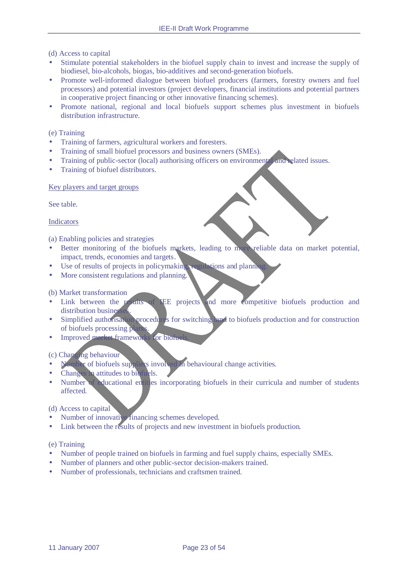(d) Access to capital

- Stimulate potential stakeholders in the biofuel supply chain to invest and increase the supply of biodiesel, bio-alcohols, biogas, bio-additives and second-generation biofuels.
- Promote well-informed dialogue between biofuel producers (farmers, forestry owners and fuel processors) and potential investors (project developers, financial institutions and potential partners in cooperative project financing or other innovative financing schemes).
- Promote national, regional and local biofuels support schemes plus investment in biofuels distribution infrastructure.

### (e) Training

- Training of farmers, agricultural workers and foresters.
- Training of small biofuel processors and business owners (SMEs).
- Training of public-sector (local) authorising officers on environmental and related issues.
- Training of biofuel distributors.

#### Key players and target groups

See table.

#### Indicators

(a) Enabling policies and strategies

- Better monitoring of the biofuels markets, leading to more reliable data on market potential, impact, trends, economies and targets.
- Use of results of projects in policymaking, regulations and planning.
- More consistent regulations and planning.

#### (b) Market transformation

- Link between the results of IEE projects and more competitive biofuels production and distribution busines
- Simplified authorisation procedures for switching land to biofuels production and for construction of biofuels processing plant
- Improved market frameworks for biofu

# (c) Changing behaviour

- Number of biofuels suppliers involved in behavioural change activities.
- Changes in attitudes to biofuels.
- Number of educational entitles incorporating biofuels in their curricula and number of students affected.

#### (d) Access to capital

- Number of innovative financing schemes developed.
- Link between the results of projects and new investment in biofuels production.

#### (e) Training

- Number of people trained on biofuels in farming and fuel supply chains, especially SMEs.
- Number of planners and other public-sector decision-makers trained.
- Number of professionals, technicians and craftsmen trained.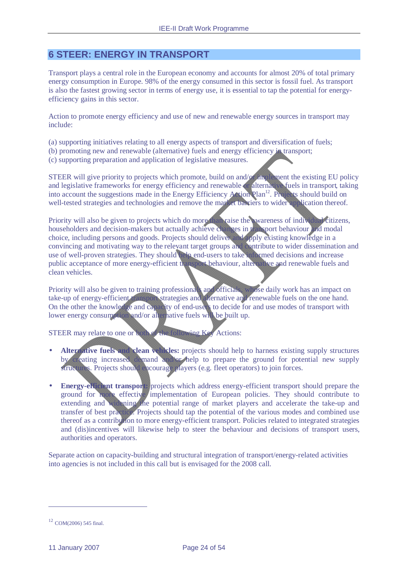# **6 STEER: ENERGY IN TRANSPORT**

Transport plays a central role in the European economy and accounts for almost 20% of total primary energy consumption in Europe. 98% of the energy consumed in this sector is fossil fuel. As transport is also the fastest growing sector in terms of energy use, it is essential to tap the potential for energyefficiency gains in this sector.

Action to promote energy efficiency and use of new and renewable energy sources in transport may include:

(a) supporting initiatives relating to all energy aspects of transport and diversification of fuels;

(b) promoting new and renewable (alternative) fuels and energy efficiency in transport;

(c) supporting preparation and application of legislative measures.

STEER will give priority to projects which promote, build on and/or implement the existing EU policy and legislative frameworks for energy efficiency and renewable or alternative fuels in transport, taking into account the suggestions made in the Energy Efficiency Action Plan<sup>12</sup>. Projects should build on well-tested strategies and technologies and remove the market barriers to wider application thereof.

Priority will also be given to projects which do more than raise the wareness of individual citizens, householders and decision-makers but actually achieve changes in transport behaviour and modal choice, including persons and goods. Projects should deliver and apply existing knowledge in a convincing and motivating way to the relevant target groups and contribute to wider dissemination and use of well-proven strategies. They should help end-users to take informed decisions and increase public acceptance of more energy-efficient transport behaviour, alternative and renewable fuels and clean vehicles.

Priority will also be given to training professionals and officials, whose daily work has an impact on take-up of energy-efficient transport strategies and alternative and renewable fuels on the one hand. On the other the knowledge and capacity of end-users to decide for and use modes of transport with lower energy consumption and/or alternative fuels will be built up.

STEER may relate to one or both of the following Key Actions:

- **Alternative fuels and clean vehicles:** projects should help to harness existing supply structures by creating increased demand and/or help to prepare the ground for potential new supply structures. Projects should encourage players (e.g. fleet operators) to join forces.
- **Energy-efficient transport:** projects which address energy-efficient transport should prepare the ground for more effective implementation of European policies. They should contribute to extending and widening the potential range of market players and accelerate the take-up and transfer of best practice. Projects should tap the potential of the various modes and combined use thereof as a contribution to more energy-efficient transport. Policies related to integrated strategies and (dis)incentives will likewise help to steer the behaviour and decisions of transport users, authorities and operators.

Separate action on capacity-building and structural integration of transport/energy-related activities into agencies is not included in this call but is envisaged for the 2008 call.

 $\overline{a}$ 

<sup>12</sup> COM(2006) 545 final.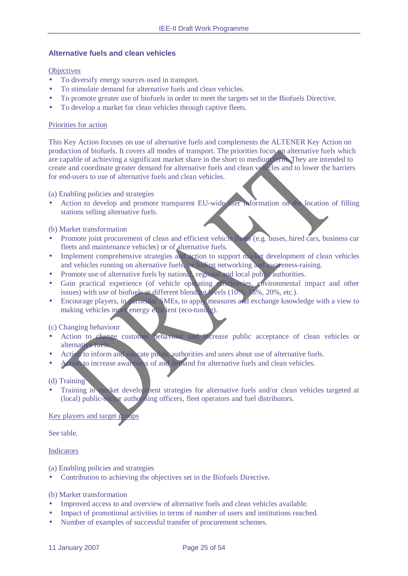# **Alternative fuels and clean vehicles**

#### **Objectives**

- To diversify energy sources used in transport.
- To stimulate demand for alternative fuels and clean vehicles.
- To promote greater use of biofuels in order to meet the targets set in the Biofuels Directive.
- To develop a market for clean vehicles through captive fleets.

#### Priorities for action

This Key Action focuses on use of alternative fuels and complements the ALTENER Key Action on production of biofuels. It covers all modes of transport. The priorities focus on alternative fuels which are capable of achieving a significant market share in the short to medium term. They are intended to create and coordinate greater demand for alternative fuels and clean vehicles and to lower the barriers for end-users to use of alternative fuels and clean vehicles.

(a) Enabling policies and strategies

Action to develop and promote transparent EU-wide user information on the location of filling stations selling alternative fuels.

#### (b) Market transformation

- Promote joint procurement of clean and efficient vehicle fleets (e.g. buses, hired cars, business car fleets and maintenance vehicles) or of alternative fuels.
- Implement comprehensive strategies and action to support market development of clean vehicles and vehicles running on alternative fuels, including networking and awareness-raising.
- Promote use of alternative fuels by national, regional and local public authorities.
- Gain practical experience (of vehicle operating efficiencies, environmental impact and other issues) with use of biofuels at different blending levels  $(10\% \mid 2\%, 20\%, \text{etc.})$ .
- Encourage players, in particular SMEs, to apply measures and exchange knowledge with a view to making vehicles more energy efficient (eco-tuning).

#### (c) Changing behaviour

- Action to change customer behaviour and increase public acceptance of clean vehicles or alternative fuels.
- Action to inform and educate public authorities and users about use of alternative fuels.
- Action to increase awareness of and demand for alternative fuels and clean vehicles.

#### (d) Training

Training in market development strategies for alternative fuels and/or clean vehicles targeted at (local) public-sector authorising officers, fleet operators and fuel distributors.

#### Key players and target groups

See table.

#### Indicators

(a) Enabling policies and strategies

• Contribution to achieving the objectives set in the Biofuels Directive.

## (b) Market transformation

- Improved access to and overview of alternative fuels and clean vehicles available.
- Impact of promotional activities in terms of number of users and institutions reached.
- Number of examples of successful transfer of procurement schemes.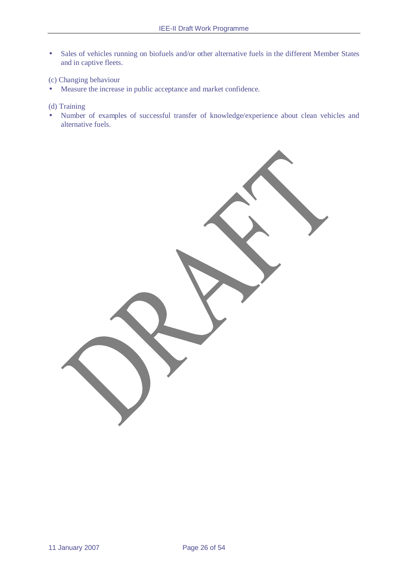• Sales of vehicles running on biofuels and/or other alternative fuels in the different Member States and in captive fleets.

(c) Changing behaviour

• Measure the increase in public acceptance and market confidence.

(d) Training

• Number of examples of successful transfer of knowledge/experience about clean vehicles and alternative fuels.

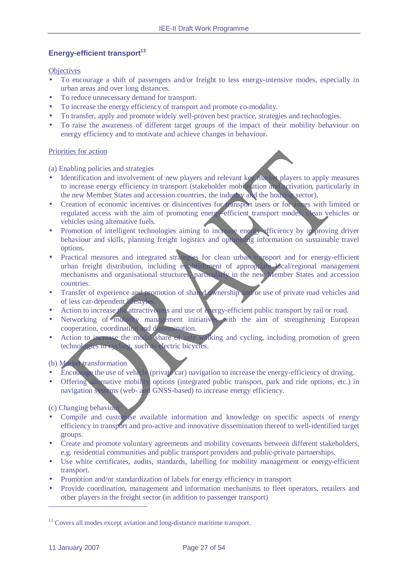# **Energy-efficient transport<sup>13</sup>**

**Objectives** 

- To encourage a shift of passengers and/or freight to less energy-intensive modes, especially in urban areas and over long distances.
- To reduce unnecessary demand for transport.
- To increase the energy efficiency of transport and promote co-modality.
- To transfer, apply and promote widely well-proven best practice, strategies and technologies.
- To raise the awareness of different target groups of the impact of their mobility behaviour on energy efficiency and to motivate and achieve changes in behaviour.

#### Priorities for action

(a) Enabling policies and strategies

- Identification and involvement of new players and relevant key market players to apply measures to increase energy efficiency in transport (stakeholder mobilisation and activation, particularly in the new Member States and accession countries, the industry and the housing sector).
- Creation of economic incentives or disincentives for transport users or for zones with limited or regulated access with the aim of promoting energy-efficient transport modes, clean vehicles or vehicles using alternative fuels.
- Promotion of intelligent technologies aiming to increase energy efficiency by improving driver behaviour and skills, planning freight logistics and optimising information on sustainable travel options.
- Practical measures and integrated strategies for clean urban transport and for energy-efficient urban freight distribution, including establishment of appropriate local/regional management mechanisms and organisational structures, particularly in the new Member States and accession countries.
- Transfer of experience and promotion of shared ownership and/or use of private road vehicles and of less car-dependent *l*ifestyle
- Action to increase the attractiveness and use of energy-efficient public transport by rail or road.
- Networking of mobility management initiatives with the aim of strengthening European cooperation, coordination and dissemination.
- Action to increase the modal share of safe walking and cycling, including promotion of green technologies in cycling, such as electric bicycles.

(b) Market transformation

- Encourage the use of vehicle (private car) navigation to increase the energy-efficiency of driving.
- Offering alternative mobility options (integrated public transport, park and ride options, etc.) in navigation systems (web- and GNSS-based) to increase energy efficiency.

(c) Changing behaviour

- Compile and customise available information and knowledge on specific aspects of energy efficiency in transport and pro-active and innovative dissemination thereof to well-identified target groups.
- Create and promote voluntary agreements and mobility covenants between different stakeholders, e.g. residential communities and public transport providers and public-private partnerships.
- Use white certificates, audits, standards, labelling for mobility management or energy-efficient transport.
- Promotion and/or standardization of labels for energy efficiency in transport
- Provide coordination, management and information mechanisms to fleet operators, retailers and other players in the freight sector (in addition to passenger transport)

 $\overline{a}$ 

<sup>&</sup>lt;sup>13</sup> Covers all modes except aviation and long-distance maritime transport.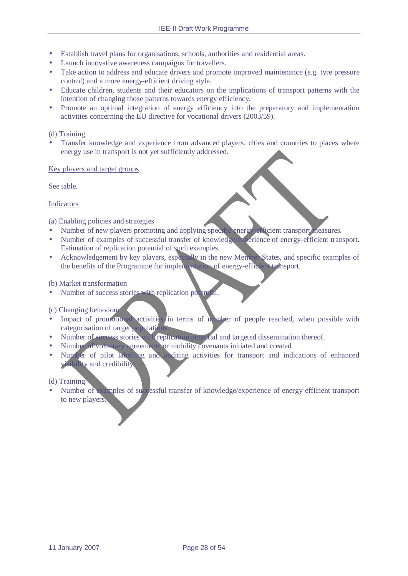- Establish travel plans for organisations, schools, authorities and residential areas.
- Launch innovative awareness campaigns for travellers.
- Take action to address and educate drivers and promote improved maintenance (e.g. tyre pressure control) and a more energy-efficient driving style.
- Educate children, students and their educators on the implications of transport patterns with the intention of changing those patterns towards energy efficiency.
- Promote an optimal integration of energy efficiency into the preparatory and implementation activities concerning the EU directive for vocational drivers (2003/59).

### (d) Training

• Transfer knowledge and experience from advanced players, cities and countries to places where energy use in transport is not yet sufficiently addressed.

#### Key players and target groups

See table.

#### Indicators

(a) Enabling policies and strategies

- Number of new players promoting and applying specific energy-efficient transport measures.
- Number of examples of successful transfer of knowledge/experience of energy-efficient transport. Estimation of replication potential of such examples.
- Acknowledgement by key players, especially in the new Member States, and specific examples of the benefits of the Programme for implementation of energy-efficient transport.

#### (b) Market transformation

Number of success stories with replication potential.

#### (c) Changing behaviour

- Impact of promotional activities in terms of number of people reached, when possible with categorisation of target population
- Number of success stories with replication potential and targeted dissemination thereof.
- Number of voluntary agreements or mobility covenants initiated and created.
- Number of pilot labelling and auditing activities for transport and indications of enhanced visibility and credibility.

#### (d) Training

• Number of examples of successful transfer of knowledge/experience of energy-efficient transport to new players.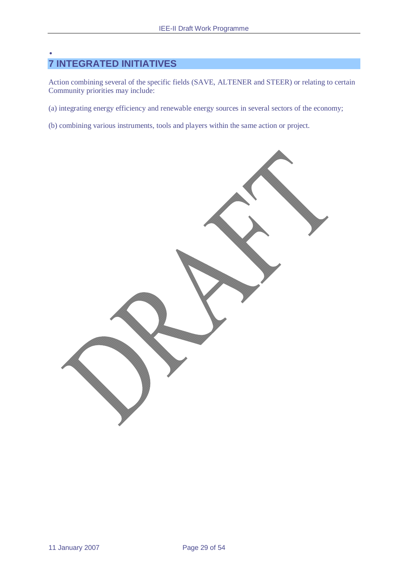# • **7 INTEGRATED INITIATIVES**

Action combining several of the specific fields (SAVE, ALTENER and STEER) or relating to certain Community priorities may include:

- (a) integrating energy efficiency and renewable energy sources in several sectors of the economy;
- (b) combining various instruments, tools and players within the same action or project.

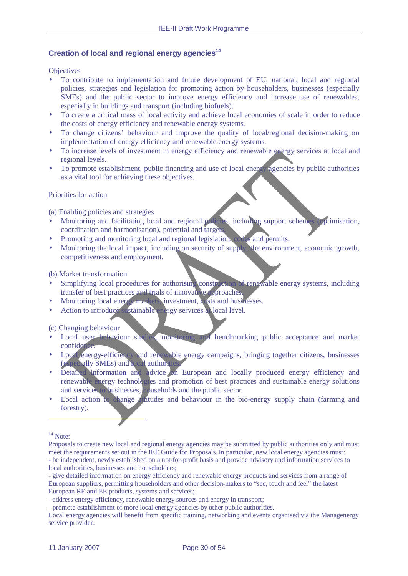# **Creation of local and regional energy agencies<sup>14</sup>**

#### **Objectives**

- To contribute to implementation and future development of EU, national, local and regional policies, strategies and legislation for promoting action by householders, businesses (especially SMEs) and the public sector to improve energy efficiency and increase use of renewables, especially in buildings and transport (including biofuels).
- To create a critical mass of local activity and achieve local economies of scale in order to reduce the costs of energy efficiency and renewable energy systems.
- To change citizens' behaviour and improve the quality of local/regional decision-making on implementation of energy efficiency and renewable energy systems.
- To increase levels of investment in energy efficiency and renewable energy services at local and regional levels.
- To promote establishment, public financing and use of local energy agencies by public authorities as a vital tool for achieving these objectives.

#### Priorities for action

(a) Enabling policies and strategies

- Monitoring and facilitating local and regional policies, including support schemes (optimisation, coordination and harmonisation), potential and targets.
- Promoting and monitoring local and regional legislation, codes and permits.
- Monitoring the local impact, including on security of supply, the environment, economic growth, competitiveness and employment.

(b) Market transformation

- Simplifying local procedures for authorising construction of renewable energy systems, including transfer of best practices and trials of innovative approaches.
- Monitoring local energy markets, investment, costs and businesses.
- Action to introduce sustainable energy services at local level.

(c) Changing behaviour

- Local user behaviour studies, monitoring and benchmarking public acceptance and market confidence.
- Local energy-efficiency and renewable energy campaigns, bringing together citizens, businesses (especially SMEs) and local authorities.
- Detailed information and advice on European and locally produced energy efficiency and renewable energy technologies and promotion of best practices and sustainable energy solutions and services to businesses, households and the public sector.
- Local action to change attitudes and behaviour in the bio-energy supply chain (farming and forestry).

 $\overline{a}$ 

 $14$  Note:

Proposals to create new local and regional energy agencies may be submitted by public authorities only and must meet the requirements set out in the IEE Guide for Proposals. In particular, new local energy agencies must: - be independent, newly established on a not-for-profit basis and provide advisory and information services to local authorities, businesses and householders;

<sup>-</sup> give detailed information on energy efficiency and renewable energy products and services from a range of European suppliers, permitting householders and other decision-makers to "see, touch and feel" the latest European RE and EE products, systems and services;

<sup>-</sup> address energy efficiency, renewable energy sources and energy in transport;

<sup>-</sup> promote establishment of more local energy agencies by other public authorities.

Local energy agencies will benefit from specific training, networking and events organised via the Managenergy service provider.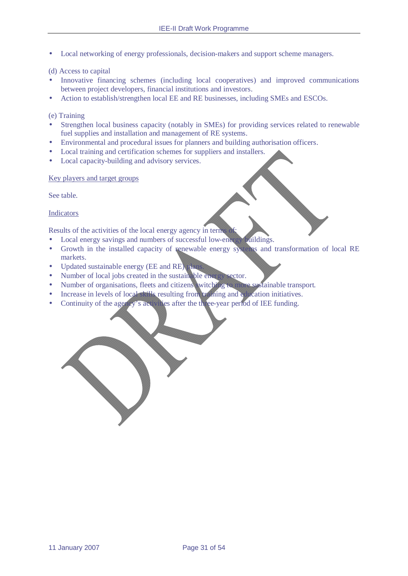• Local networking of energy professionals, decision-makers and support scheme managers.

#### (d) Access to capital

- Innovative financing schemes (including local cooperatives) and improved communications between project developers, financial institutions and investors.
- Action to establish/strengthen local EE and RE businesses, including SMEs and ESCOs.

(e) Training

- Strengthen local business capacity (notably in SMEs) for providing services related to renewable fuel supplies and installation and management of RE systems.
- Environmental and procedural issues for planners and building authorisation officers.
- Local training and certification schemes for suppliers and installers.
- Local capacity-building and advisory services.

Key players and target groups

See table.

Indicators

Results of the activities of the local energy agency in term

- Local energy savings and numbers of successful low-energy buildings.
- Growth in the installed capacity of renewable energy systems and transformation of local RE markets.
- Updated sustainable energy (EE and RE) plan
- Number of local jobs created in the sustainable energy sector.
- Number of organisations, fleets and citizens witching to more systainable transport.
- Increase in levels of local skills resulting from training and education initiatives.
- Continuity of the agency's activities after the three-year period of IEE funding.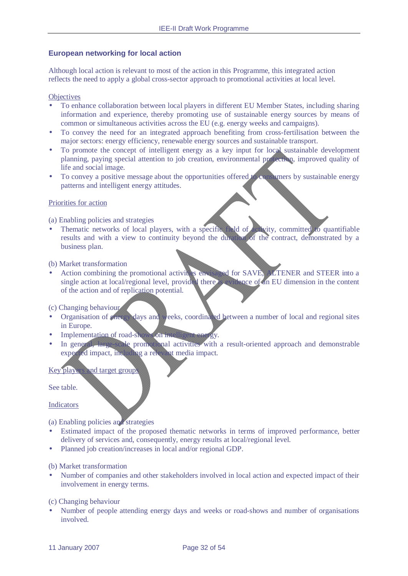#### **European networking for local action**

Although local action is relevant to most of the action in this Programme, this integrated action reflects the need to apply a global cross-sector approach to promotional activities at local level.

#### **Objectives**

- To enhance collaboration between local players in different EU Member States, including sharing information and experience, thereby promoting use of sustainable energy sources by means of common or simultaneous activities across the EU (e.g. energy weeks and campaigns).
- To convey the need for an integrated approach benefiting from cross-fertilisation between the major sectors: energy efficiency, renewable energy sources and sustainable transport.
- To promote the concept of intelligent energy as a key input for local sustainable development planning, paying special attention to job creation, environmental protection, improved quality of life and social image.
- To convey a positive message about the opportunities offered to consumers by sustainable energy patterns and intelligent energy attitudes.

#### Priorities for action

(a) Enabling policies and strategies

Thematic networks of local players, with a specific field of activity, committed to quantifiable results and with a view to continuity beyond the duration of the contract, demonstrated by a business plan.

#### (b) Market transformation

Action combining the promotional activities envisaged for SAVE, ALTENER and STEER into a single action at local/regional level, provided there is evidence of an EU dimension in the content of the action and of replication potential.

#### (c) Changing behaviour

- Organisation of energy days and weeks, coordinated between a number of local and regional sites in Europe.
- Implementation of road-shows on intelligent energy.
- In general, large-scale promotional activities with a result-oriented approach and demonstrable expected impact, including a relevant media impact.

#### Key players and target group

See table.

#### Indicators

(a) Enabling policies and strategies

- Estimated impact of the proposed thematic networks in terms of improved performance, better delivery of services and, consequently, energy results at local/regional level.
- Planned job creation/increases in local and/or regional GDP.

#### (b) Market transformation

• Number of companies and other stakeholders involved in local action and expected impact of their involvement in energy terms.

#### (c) Changing behaviour

• Number of people attending energy days and weeks or road-shows and number of organisations involved.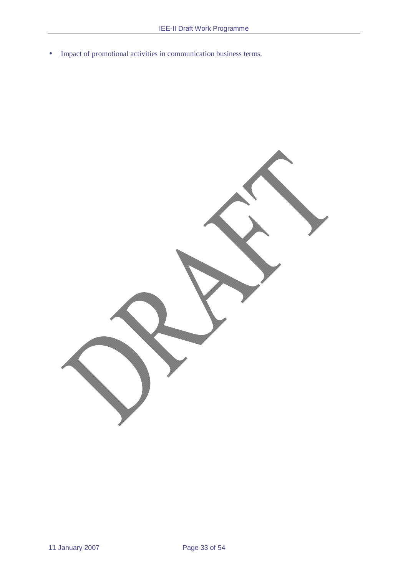• Impact of promotional activities in communication business terms.

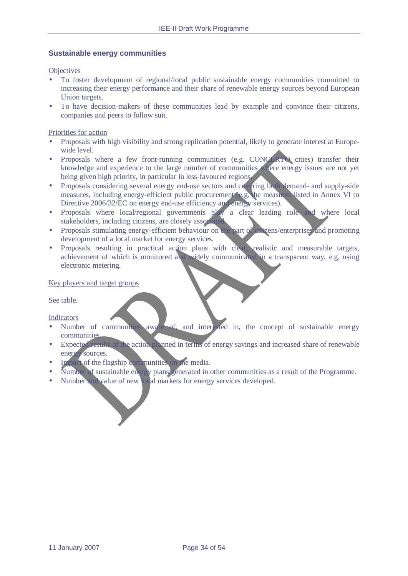#### **Sustainable energy communities**

**Objectives** 

- To foster development of regional/local public sustainable energy communities committed to increasing their energy performance and their share of renewable energy sources beyond European Union targets.
- To have decision-makers of these communities lead by example and convince their citizens, companies and peers to follow suit.

Priorities for action

- Proposals with high visibility and strong replication potential, likely to generate interest at Europewide level.
- Proposals where a few front-running communities (e.g. CONCERTO cities) transfer their knowledge and experience to the large number of communities where energy issues are not yet being given high priority, in particular in less-favoured regions.
- Proposals considering several energy end-use sectors and covering both demand- and supply-side measures, including energy-efficient public procurement (e.g. the measures listed in Annex VI to Directive 2006/32/EC on energy end-use efficiency and energy services).
- Proposals where local/regional governments play a clear leading role and where local stakeholders, including citizens, are closely associated.
- Proposals stimulating energy-efficient behaviour on the part of citizens/enterprises and promoting development of a local market for energy services.
- Proposals resulting in practical action plans with clear, realistic and measurable targets, achievement of which is monitored and widely communicated in a transparent way, e.g. using electronic metering.

#### Key players and target groups

See table.

Indicators

- Number of communities aware of, and interested in, the concept of sustainable energy communities.
- Expected results of the action planned in terms of energy savings and increased share of renewable energy sources.
- Impact of the flagship communities on the media.
- Number of sustainable energy plans generated in other communities as a result of the Programme.
- Number and value of new local markets for energy services developed.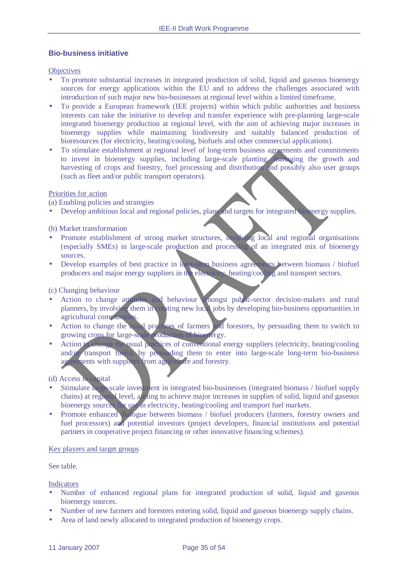#### **Bio-business initiative**

**Objectives** 

- To promote substantial increases in integrated production of solid, liquid and gaseous bioenergy sources for energy applications within the EU and to address the challenges associated with introduction of such major new bio-businesses at regional level within a limited timeframe.
- To provide a European framework (IEE projects) within which public authorities and business interests can take the initiative to develop and transfer experience with pre-planning large-scale integrated bioenergy production at regional level, with the aim of achieving major increases in bioenergy supplies while maintaining biodiversity and suitably balanced production of bioresources (for electricity, heating/cooling, biofuels and other commercial applications).
- To stimulate establishment at regional level of long-term business agreements and commitments to invest in bioenergy supplies, including large-scale planting, managing the growth and harvesting of crops and forestry, fuel processing and distribution and possibly also user groups (such as fleet and/or public transport operators).

#### Priorities for action

(a) Enabling policies and strategies

• Develop ambitious local and regional policies, plans and targets for integrated bioenergy supplies.

#### (b) Market transformation

- Promote establishment of strong market structures, involving local and regional organisations (especially SMEs) in large-scale production and processing of an integrated mix of bioenergy sources.
- Develop examples of best practice in long-term business agreements between biomass / biofuel producers and major energy suppliers in the electricity, heating/cooling and transport sectors.

#### (c) Changing behaviour

- Action to change attitudes and behaviour amongst public-sector decision-makers and rural planners, by involving them in creating new local jobs by developing bio-business opportunities in agricultural communities.
- Action to change the usual practices of farmers and foresters, by persuading them to switch to growing crops for large-scale production of bioenergy.
- Action to change the usual practices of conventional energy suppliers (electricity, heating/cooling and/or transport fuels), by persuading them to enter into large-scale long-term bio-business agreements with suppliers from agriculture and forestry.

#### (d) Access to capital

- Stimulate large-scale investment in integrated bio-businesses (integrated biomass / biofuel supply chains) at regional level, aiming to achieve major increases in supplies of solid, liquid and gaseous bioenergy sources for use in electricity, heating/cooling and transport fuel markets.
- Promote enhanced dialogue between biomass / biofuel producers (farmers, forestry owners and fuel processors) and potential investors (project developers, financial institutions and potential partners in cooperative project financing or other innovative financing schemes).

#### Key players and target groups

See table.

#### Indicators

- Number of enhanced regional plans for integrated production of solid, liquid and gaseous bioenergy sources.
- Number of new farmers and foresters entering solid, liquid and gaseous bioenergy supply chains.
- Area of land newly allocated to integrated production of bioenergy crops.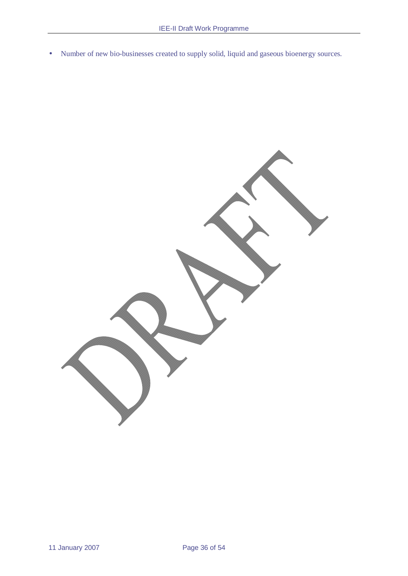• Number of new bio-businesses created to supply solid, liquid and gaseous bioenergy sources.

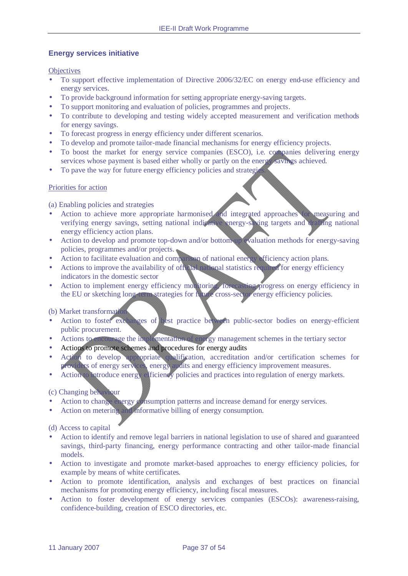# **Energy services initiative**

**Objectives** 

- To support effective implementation of Directive 2006/32/EC on energy end-use efficiency and energy services.
- To provide background information for setting appropriate energy-saving targets.
- To support monitoring and evaluation of policies, programmes and projects.
- To contribute to developing and testing widely accepted measurement and verification methods for energy savings.
- To forecast progress in energy efficiency under different scenarios.
- To develop and promote tailor-made financial mechanisms for energy efficiency projects.
- To boost the market for energy service companies (ESCO), i.e. companies delivering energy services whose payment is based either wholly or partly on the energy savings achieved.
- To pave the way for future energy efficiency policies and strategies.

#### Priorities for action

(a) Enabling policies and strategies

- Action to achieve more appropriate harmonised and integrated approaches for measuring and verifying energy savings, setting national indicative energy-saving targets and drafting national energy efficiency action plans.
- Action to develop and promote top-down and/or bottom-up evaluation methods for energy-saving policies, programmes and/or projects.
- Action to facilitate evaluation and comparison of national energy efficiency action plans.
- Actions to improve the availability of official national statistics required for energy efficiency indicators in the domestic sector
- Action to implement energy efficiency monitoring, forecasting progress on energy efficiency in the EU or sketching long-term strategies for future cross-sector energy efficiency policies.

#### (b) Market transformation

- Action to foster exchanges of best practice between public-sector bodies on energy-efficient public procurement.
- Actions to encourage the implementation of energy management schemes in the tertiary sector
- Actions to promote schemes and procedures for energy audits
- Action to develop appropriate qualification, accreditation and/or certification schemes for providers of energy services, energy audits and energy efficiency improvement measures.
- Action to introduce energy efficiency policies and practices into regulation of energy markets.

#### (c) Changing behaviour

- Action to change energy consumption patterns and increase demand for energy services.
- Action on metering and informative billing of energy consumption.

#### (d) Access to capital

- Action to identify and remove legal barriers in national legislation to use of shared and guaranteed savings, third-party financing, energy performance contracting and other tailor-made financial models.
- Action to investigate and promote market-based approaches to energy efficiency policies, for example by means of white certificates.
- Action to promote identification, analysis and exchanges of best practices on financial mechanisms for promoting energy efficiency, including fiscal measures.
- Action to foster development of energy services companies (ESCOs): awareness-raising, confidence-building, creation of ESCO directories, etc.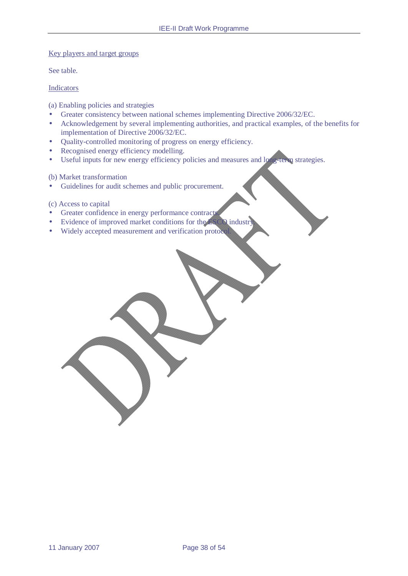#### Key players and target groups

See table.

#### Indicators

(a) Enabling policies and strategies

- Greater consistency between national schemes implementing Directive 2006/32/EC.
- Acknowledgement by several implementing authorities, and practical examples, of the benefits for implementation of Directive 2006/32/EC.
- Quality-controlled monitoring of progress on energy efficiency.
- Recognised energy efficiency modelling.
- Useful inputs for new energy efficiency policies and measures and long-term strategies.

(b) Market transformation

• Guidelines for audit schemes and public procurement.

#### (c) Access to capital

- Greater confidence in energy performance contracts.
- Evidence of improved market conditions for the ESCO industry
- Widely accepted measurement and verification protocol.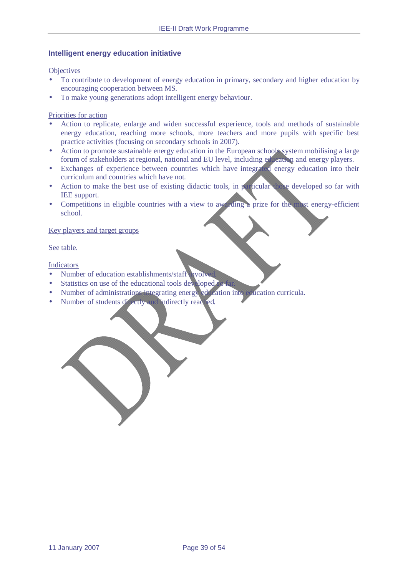#### **Intelligent energy education initiative**

**Objectives** 

- To contribute to development of energy education in primary, secondary and higher education by encouraging cooperation between MS.
- To make young generations adopt intelligent energy behaviour.

Priorities for action

- Action to replicate, enlarge and widen successful experience, tools and methods of sustainable energy education, reaching more schools, more teachers and more pupils with specific best practice activities (focusing on secondary schools in 2007).
- Action to promote sustainable energy education in the European schools system mobilising a large forum of stakeholders at regional, national and EU level, including education and energy players.
- Exchanges of experience between countries which have integrated energy education into their curriculum and countries which have not.
- Action to make the best use of existing didactic tools, in particular those developed so far with IEE support.
- Competitions in eligible countries with a view to awarding a prize for the most energy-efficient school.

#### Key players and target groups

See table.

Indicators

- Number of education establishments/staff  $\parallel$  ivolved.
- Statistics on use of the educational tools developed.
- Number of administrations integrating energy education into education curricula.
- Number of students directly and indirectly reached.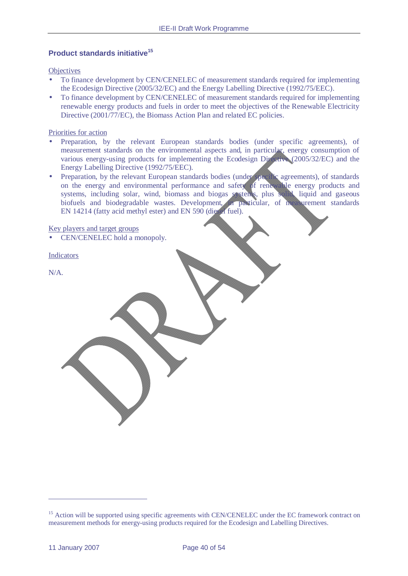# **Product standards initiative<sup>15</sup>**

**Objectives** 

- To finance development by CEN/CENELEC of measurement standards required for implementing the Ecodesign Directive (2005/32/EC) and the Energy Labelling Directive (1992/75/EEC).
- To finance development by CEN/CENELEC of measurement standards required for implementing renewable energy products and fuels in order to meet the objectives of the Renewable Electricity Directive (2001/77/EC), the Biomass Action Plan and related EC policies.

Priorities for action

- Preparation, by the relevant European standards bodies (under specific agreements), of measurement standards on the environmental aspects and, in particular, energy consumption of various energy-using products for implementing the Ecodesign Directive (2005/32/EC) and the Energy Labelling Directive (1992/75/EEC).
- Preparation, by the relevant European standards bodies (under specific agreements), of standards on the energy and environmental performance and safety of renewable energy products and systems, including solar, wind, biomass and biogas systems, plus solid, liquid and gaseous biofuels and biodegradable wastes. Development, in particular, of measurement standards EN 14214 (fatty acid methyl ester) and EN 590 (diesel fuel).

Key players and target groups

• CEN/CENELEC hold a monopoly.

Indicators

N/A.

 $\overline{a}$ 

<sup>&</sup>lt;sup>15</sup> Action will be supported using specific agreements with CEN/CENELEC under the EC framework contract on measurement methods for energy-using products required for the Ecodesign and Labelling Directives.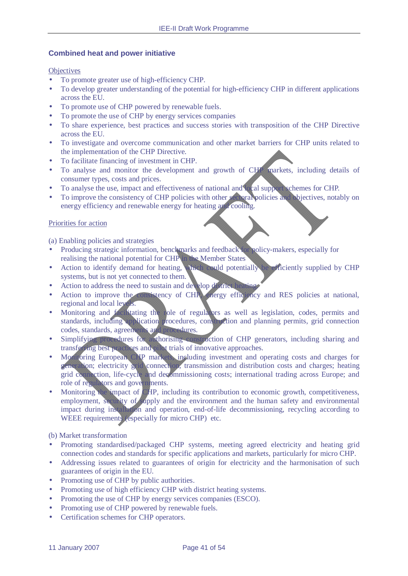# **Combined heat and power initiative**

#### **Objectives**

- To promote greater use of high-efficiency CHP.
- To develop greater understanding of the potential for high-efficiency CHP in different applications across the EU.
- To promote use of CHP powered by renewable fuels.
- To promote the use of CHP by energy services companies
- To share experience, best practices and success stories with transposition of the CHP Directive across the EU.
- To investigate and overcome communication and other market barriers for CHP units related to the implementation of the CHP Directive.
- To facilitate financing of investment in CHP.
- To analyse and monitor the development and growth of CHP markets, including details of consumer types, costs and prices.
- To analyse the use, impact and effectiveness of national and local support schemes for CHP.
- To improve the consistency of CHP policies with other sectoral policies and objectives, notably on energy efficiency and renewable energy for heating and cooling.

#### Priorities for action

(a) Enabling policies and strategies

- Producing strategic information, benchmarks and feedback for policy-makers, especially for realising the national potential for CHP in the Member States
- Action to identify demand for heating, which could potentially be efficiently supplied by CHP systems, but is not yet connected to them.
- Action to address the need to sustain and develop district he
- Action to improve the consistency of CHP, energy efficiency and RES policies at national, regional and local levels.
- Monitoring and facilitating the role of regulators as well as legislation, codes, permits and standards, including application procedures, construction and planning permits, grid connection codes, standards, agreements and procedures.
- Simplifying procedures for authorising construction of CHP generators, including sharing and transferring best practices and pilot trials of innovative approaches.
- Monitoring European CHP markets, including investment and operating costs and charges for generation; electricity grid connection, transmission and distribution costs and charges; heating grid connection, life-cycle and decommissioning costs; international trading across Europe; and role of regulators and governments.
- Monitoring the impact of CHP, including its contribution to economic growth, competitiveness, employment, security of supply and the environment and the human safety and environmental impact during installation and operation, end-of-life decommissioning, recycling according to WEEE requirements (especially for micro CHP) etc.

(b) Market transformation

- Promoting standardised/packaged CHP systems, meeting agreed electricity and heating grid connection codes and standards for specific applications and markets, particularly for micro CHP.
- Addressing issues related to guarantees of origin for electricity and the harmonisation of such guarantees of origin in the EU.
- Promoting use of CHP by public authorities.
- Promoting use of high efficiency CHP with district heating systems.
- Promoting the use of CHP by energy services companies (ESCO).
- Promoting use of CHP powered by renewable fuels.
- Certification schemes for CHP operators.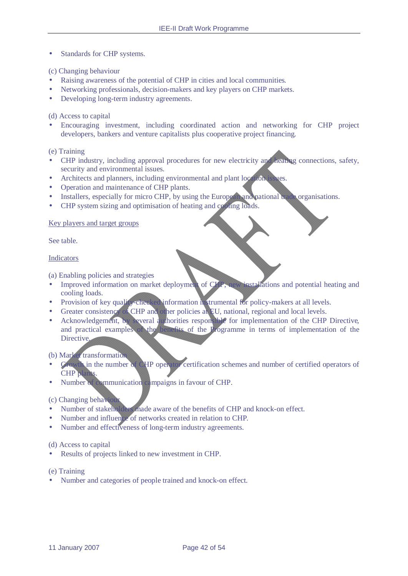• Standards for CHP systems.

### (c) Changing behaviour

- Raising awareness of the potential of CHP in cities and local communities.
- Networking professionals, decision-makers and key players on CHP markets.
- Developing long-term industry agreements.

# (d) Access to capital

• Encouraging investment, including coordinated action and networking for CHP project developers, bankers and venture capitalists plus cooperative project financing.

(e) Training

- CHP industry, including approval procedures for new electricity and heating connections, safety, security and environmental issues.
- Architects and planners, including environmental and plant location issues.
- Operation and maintenance of CHP plants.
- Installers, especially for micro CHP, by using the European and national trade organisations.
- CHP system sizing and optimisation of heating and cooling loads.

# Key players and target groups

See table.

#### Indicators

(a) Enabling policies and strategies

- Improved information on market deployment of CHP, new installations and potential heating and cooling loads.
- Provision of key quality-checked information in trumental for policy-makers at all levels.
- Greater consistency of CHP and other policies at EU, national, regional and local levels.
- Acknowledgement, by several authorities responsible for implementation of the CHP Directive, and practical examples of the benefits of the Programme in terms of implementation of the Directive.

### (b) Market transformation

- Growth in the number of CHP operator certification schemes and number of certified operators of CHP plants.
- Number of communication campaigns in favour of CHP.

#### (c) Changing behaviour

- Number of stakeholders made aware of the benefits of CHP and knock-on effect.
- Number and influence of networks created in relation to CHP.
- Number and effectiveness of long-term industry agreements.

#### (d) Access to capital

• Results of projects linked to new investment in CHP.

#### (e) Training

• Number and categories of people trained and knock-on effect.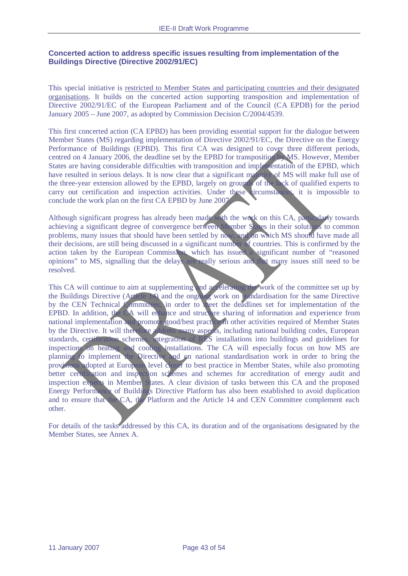# **Concerted action to address specific issues resulting from implementation of the Buildings Directive (Directive 2002/91/EC)**

This special initiative is restricted to Member States and participating countries and their designated organisations. It builds on the concerted action supporting transposition and implementation of Directive 2002/91/EC of the European Parliament and of the Council (CA EPDB) for the period January 2005 – June 2007, as adopted by Commission Decision C/2004/4539.

This first concerted action (CA EPBD) has been providing essential support for the dialogue between Member States (MS) regarding implementation of Directive 2002/91/EC, the Directive on the Energy Performance of Buildings (EPBD). This first CA was designed to cover three different periods, centred on 4 January 2006, the deadline set by the EPBD for transposition by MS. However, Member States are having considerable difficulties with transposition and implementation of the EPBD, which have resulted in serious delays. It is now clear that a significant majority of MS will make full use of the three-year extension allowed by the EPBD, largely on grounds of the lack of qualified experts to carry out certification and inspection activities. Under these circumstances, it is impossible to conclude the work plan on the first CA EPBD by June 2007.

Although significant progress has already been made with the work on this CA, particularly towards achieving a significant degree of convergence between Member States in their solutions to common problems, many issues that should have been settled by now, and on which MS should have made all their decisions, are still being discussed in a significant number of countries. This is confirmed by the action taken by the European Commission, which has issued a significant number of "reasoned opinions" to MS, signalling that the delays are really serious and that many issues still need to be resolved.

This CA will continue to aim at supplementing and accelerating the work of the committee set up by the Buildings Directive (Article 14) and the ongoing work on standardisation for the same Directive by the CEN Technical Committees, in order to meet the deadlines set for implementation of the EPBD. In addition, the CA will enhance and structure sharing of information and experience from national implementation and promote good/best practice in other activities required of Member States by the Directive. It will therefore address many aspects, including national building codes, European standards, certification schemes, integration of RES installations into buildings and guidelines for inspections on heating and cooling installations. The CA will especially focus on how MS are planning to implement the Directive and on national standardisation work in order to bring the provisions adopted at European level closer to best practice in Member States, while also promoting better certification and inspection schemes and schemes for accreditation of energy audit and inspection experts in Member States. A clear division of tasks between this CA and the proposed Energy Performance of Buildings Directive Platform has also been established to avoid duplication and to ensure that the CA, the Platform and the Article 14 and CEN Committee complement each other.

For details of the tasks addressed by this CA, its duration and of the organisations designated by the Member States, see Annex A.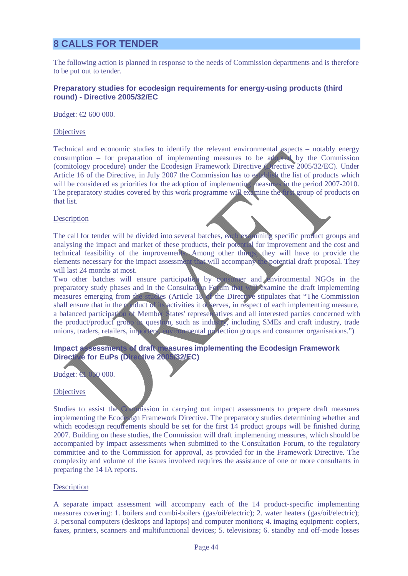# **8 CALLS FOR TENDER**

The following action is planned in response to the needs of Commission departments and is therefore to be put out to tender.

### **Preparatory studies for ecodesign requirements for energy-using products (third round) - Directive 2005/32/EC**

Budget: €2 600 000.

#### **Objectives**

Technical and economic studies to identify the relevant environmental aspects – notably energy consumption – for preparation of implementing measures to be adopted by the Commission (comitology procedure) under the Ecodesign Framework Directive (Directive 2005/32/EC). Under Article 16 of the Directive, in July 2007 the Commission has to establish the list of products which will be considered as priorities for the adoption of implementing measures in the period 2007-2010. The preparatory studies covered by this work programme will examine the first group of products on that list.

#### **Description**

The call for tender will be divided into several batches, each examining specific product groups and analysing the impact and market of these products, their potential for improvement and the cost and technical feasibility of the improvements. Among other things, they will have to provide the elements necessary for the impact assessment that will accompany the potential draft proposal. They will last 24 months at most.

Two other batches will ensure participation by consumer and environmental NGOs in the preparatory study phases and in the Consultation Forum that will examine the draft implementing measures emerging from the studies (Article 18 of the Directive stipulates that "The Commission") shall ensure that in the conduct of its activities it observes, in respect of each implementing measure, a balanced participation of Member States' representatives and all interested parties concerned with the product/product group in question, such as industry, including SMEs and craft industry, trade unions, traders, retailers, importers, environmental protection groups and consumer organisations.")

# **Impact assessments of draft measures implementing the Ecodesign Framework Directive for EuPs (Directive 2005/32/EC)**

Budget: €1 050 000.

#### **Objectives**

Studies to assist the Commission in carrying out impact assessments to prepare draft measures implementing the Ecodesign Framework Directive. The preparatory studies determining whether and which ecodesign requirements should be set for the first 14 product groups will be finished during 2007. Building on these studies, the Commission will draft implementing measures, which should be accompanied by impact assessments when submitted to the Consultation Forum, to the regulatory committee and to the Commission for approval, as provided for in the Framework Directive. The complexity and volume of the issues involved requires the assistance of one or more consultants in preparing the 14 IA reports.

#### **Description**

A separate impact assessment will accompany each of the 14 product-specific implementing measures covering: 1. boilers and combi-boilers (gas/oil/electric); 2. water heaters (gas/oil/electric); 3. personal computers (desktops and laptops) and computer monitors; 4. imaging equipment: copiers, faxes, printers, scanners and multifunctional devices; 5. televisions; 6. standby and off-mode losses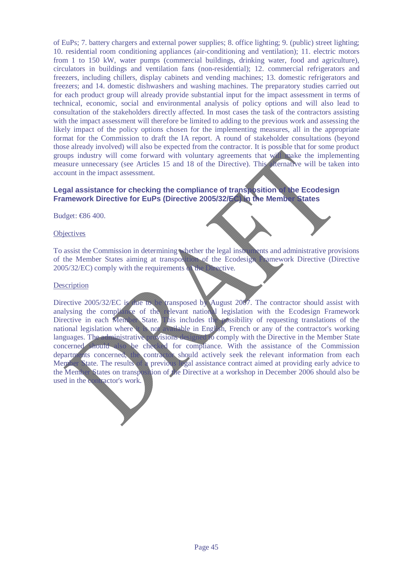of EuPs; 7. battery chargers and external power supplies; 8. office lighting; 9. (public) street lighting; 10. residential room conditioning appliances (air-conditioning and ventilation); 11. electric motors from 1 to 150 kW, water pumps (commercial buildings, drinking water, food and agriculture), circulators in buildings and ventilation fans (non-residential); 12. commercial refrigerators and freezers, including chillers, display cabinets and vending machines; 13. domestic refrigerators and freezers; and 14. domestic dishwashers and washing machines. The preparatory studies carried out for each product group will already provide substantial input for the impact assessment in terms of technical, economic, social and environmental analysis of policy options and will also lead to consultation of the stakeholders directly affected. In most cases the task of the contractors assisting with the impact assessment will therefore be limited to adding to the previous work and assessing the likely impact of the policy options chosen for the implementing measures, all in the appropriate format for the Commission to draft the IA report. A round of stakeholder consultations (beyond those already involved) will also be expected from the contractor. It is possible that for some product groups industry will come forward with voluntary agreements that will make the implementing measure unnecessary (see Articles 15 and 18 of the Directive). This alternative will be taken into account in the impact assessment.

# **Legal assistance for checking the compliance of transposition of the Ecodesign Framework Directive for EuPs (Directive 2005/32/EC) in the Member States**

Budget: €86 400.

#### **Objectives**

To assist the Commission in determining whether the legal instruments and administrative provisions of the Member States aiming at transposition of the Ecodesign Framework Directive (Directive 2005/32/EC) comply with the requirements of the Directive.

#### **Description**

Directive 2005/32/EC is due to be transposed by August 2007. The contractor should assist with analysing the compliance of the relevant national legislation with the Ecodesign Framework Directive in each Member State. This includes the possibility of requesting translations of the national legislation where it is not available in English, French or any of the contractor's working languages. The administrative provisions designed to comply with the Directive in the Member State concerned should also be checked for compliance. With the assistance of the Commission departments concerned, the contractor should actively seek the relevant information from each Member State. The results of a previous legal assistance contract aimed at providing early advice to the Member States on transposition of the Directive at a workshop in December 2006 should also be used in the contractor's work.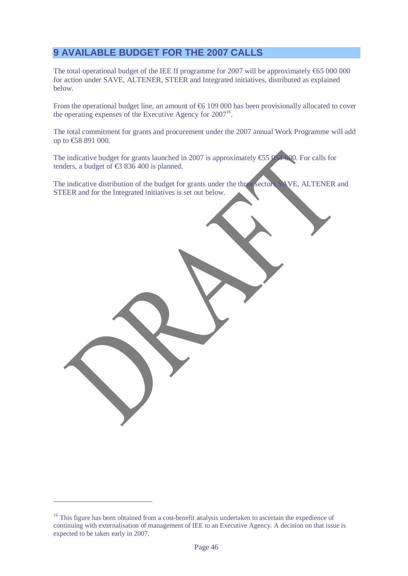# **9 AVAILABLE BUDGET FOR THE 2007 CALLS**

The total operational budget of the IEE II programme for 2007 will be approximately  $665 000 000$ for action under SAVE, ALTENER, STEER and Integrated initiatives, distributed as explained below.

From the operational budget line, an amount of €6 109 000 has been provisionally allocated to cover the operating expenses of the Executive Agency for  $2007<sup>16</sup>$ .

The total commitment for grants and procurement under the 2007 annual Work Programme will add up to €58 891 000.

The indicative budget for grants launched in 2007 is approximately  $\text{\textsterling}5954$  600. For calls for tenders, a budget of  $\text{\textsterling}8 836 400$  is planned.

The indicative distribution of the budget for grants under the three sectors SAVE, ALTENER and STEER and for the Integrated initiatives is set out below.

 $\overline{a}$ 

<sup>&</sup>lt;sup>16</sup> This figure has been obtained from a cost-benefit analysis undertaken to ascertain the expedience of continuing with externalisation of management of IEE to an Executive Agency. A decision on that issue is expected to be taken early in 2007.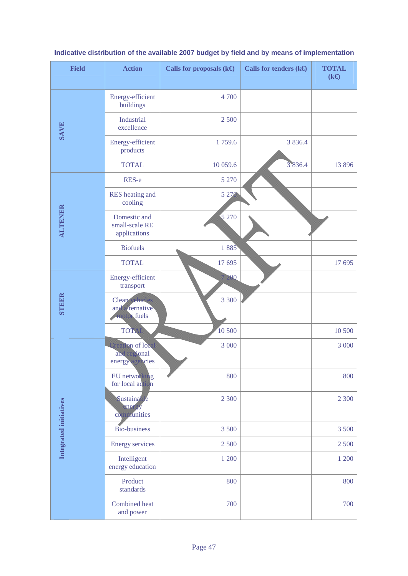| <b>Field</b>           | <b>Action</b>                                           | Calls for proposals $(k \Theta)$ | Calls for tenders $(k \Theta)$ | <b>TOTAL</b><br>$(k \Theta)$ |
|------------------------|---------------------------------------------------------|----------------------------------|--------------------------------|------------------------------|
|                        | Energy-efficient<br>buildings                           | 4 700                            |                                |                              |
| <b>SAVE</b>            | <b>Industrial</b><br>excellence                         | 2 500                            |                                |                              |
|                        | Energy-efficient<br>products                            | 1759.6                           | 3 8 3 6.4                      |                              |
|                        | <b>TOTAL</b>                                            | 10 059.6                         | 3836.4                         | 13 896                       |
|                        | RES-e                                                   | 5 2 7 0                          |                                |                              |
|                        | RES heating and<br>cooling                              | 5 2 7 0                          |                                |                              |
| <b>ALTENER</b>         | Domestic and<br>small-scale RE<br>applications          | 5 2 7 0                          |                                |                              |
|                        | <b>Biofuels</b>                                         | 1 885                            |                                |                              |
|                        | <b>TOTAL</b>                                            | 17 695                           |                                | 17 695                       |
|                        | Energy-efficient<br>transport                           | 200                              |                                |                              |
| <b>STEER</b>           | <b>Cleap vehicles</b><br>and alternative<br>motor fuels | 3 3 0 0                          |                                |                              |
|                        | <b>TOTAL</b>                                            | 10500                            |                                | 10 500                       |
|                        | Creation of local<br>and regional<br>energy agencies    | 3 000                            |                                | 3 000                        |
|                        | EU networking<br>for local action                       | 800                              |                                | 800                          |
| Integrated initiatives | <b>Sustainable</b><br>energy<br>communities             | 2 300                            |                                | 2 3 0 0                      |
|                        | Bio-business                                            | 3 500                            |                                | 3 500                        |
|                        | <b>Energy services</b>                                  | 2 500                            |                                | 2 500                        |
|                        | Intelligent<br>energy education                         | 1 200                            |                                | 1 200                        |
|                        | Product<br>standards                                    | 800                              |                                | 800                          |
|                        | Combined heat<br>and power                              | 700                              |                                | 700                          |

# **Indicative distribution of the available 2007 budget by field and by means of implementation**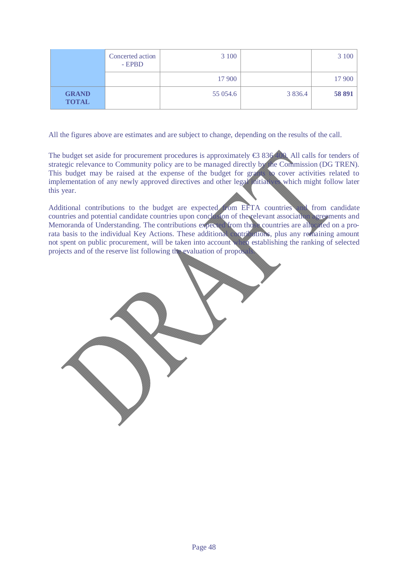|                              | Concerted action<br>- EPBD | 3 100    |            | 3 100  |
|------------------------------|----------------------------|----------|------------|--------|
|                              |                            | 17 900   |            | 17 900 |
| <b>GRAND</b><br><b>TOTAL</b> |                            | 55 054.6 | 3 8 3 6 .4 | 58 891 |

All the figures above are estimates and are subject to change, depending on the results of the call.

The budget set aside for procurement procedures is approximately €3 836 400. All calls for tenders of strategic relevance to Community policy are to be managed directly by the Commission (DG TREN). This budget may be raised at the expense of the budget for grants to cover activities related to implementation of any newly approved directives and other legal initiatives which might follow later this year.

Additional contributions to the budget are expected from EFTA countries and from candidate countries and potential candidate countries upon conclusion of the relevant association agreements and Memoranda of Understanding. The contributions expected from those countries are allocated on a prorata basis to the individual Key Actions. These additional contributions, plus any remaining amount not spent on public procurement, will be taken into account when establishing the ranking of selected projects and of the reserve list following the evaluation of proposals.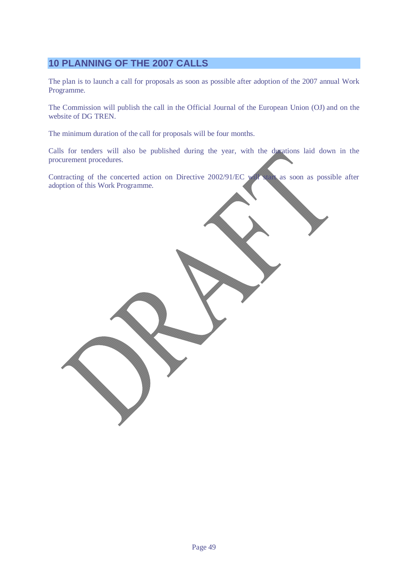# **10 PLANNING OF THE 2007 CALLS**

The plan is to launch a call for proposals as soon as possible after adoption of the 2007 annual Work Programme.

The Commission will publish the call in the Official Journal of the European Union (OJ) and on the website of DG TREN.

The minimum duration of the call for proposals will be four months.

Calls for tenders will also be published during the year, with the durations laid down in the procurement procedures.

Contracting of the concerted action on Directive 2002/91/EC will start as soon as possible after adoption of this Work Programme.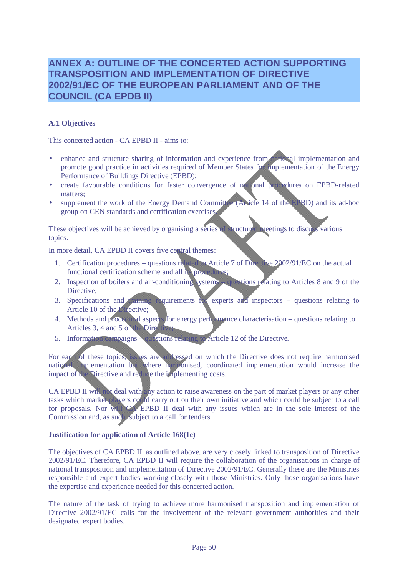# **ANNEX A: OUTLINE OF THE CONCERTED ACTION SUPPORTING TRANSPOSITION AND IMPLEMENTATION OF DIRECTIVE 2002/91/EC OF THE EUROPEAN PARLIAMENT AND OF THE COUNCIL (CA EPDB II)**

# **A.1 Objectives**

This concerted action - CA EPBD II - aims to:

- enhance and structure sharing of information and experience from national implementation and promote good practice in activities required of Member States for implementation of the Energy Performance of Buildings Directive (EPBD);
- create favourable conditions for faster convergence of national procedures on EPBD-related matters;
- supplement the work of the Energy Demand Committee (Article 14 of the EPBD) and its ad-hoc group on CEN standards and certification exercises.

These objectives will be achieved by organising a series of structured meetings to discuss various topics.

In more detail, CA EPBD II covers five central themes:

- 1. Certification procedures questions related to Article 7 of Directive 2002/91/EC on the actual functional certification scheme and all its procedures
- 2. Inspection of boilers and air-conditioning systems questions relating to Articles 8 and 9 of the Directive;
- 3. Specifications and training requirements for experts and inspectors questions relating to Article 10 of the Directive;
- 4. Methods and procedural aspects for energy performance characterisation questions relating to Articles 3, 4 and 5 of the Directive
- 5. Information campaigns questions relating to Article 12 of the Directive.

For each of these topics, issues are addressed on which the Directive does not require harmonised national implementation but where harmonised, coordinated implementation would increase the impact of the Directive and reduce the implementing costs.

CA EPBD II will not deal with any action to raise awareness on the part of market players or any other tasks which market players could carry out on their own initiative and which could be subject to a call for proposals. Nor will CA EPBD II deal with any issues which are in the sole interest of the Commission and, as such, subject to a call for tenders.

#### **Justification for application of Article 168(1c)**

The objectives of CA EPBD II, as outlined above, are very closely linked to transposition of Directive 2002/91/EC. Therefore, CA EPBD II will require the collaboration of the organisations in charge of national transposition and implementation of Directive 2002/91/EC. Generally these are the Ministries responsible and expert bodies working closely with those Ministries. Only those organisations have the expertise and experience needed for this concerted action.

The nature of the task of trying to achieve more harmonised transposition and implementation of Directive 2002/91/EC calls for the involvement of the relevant government authorities and their designated expert bodies.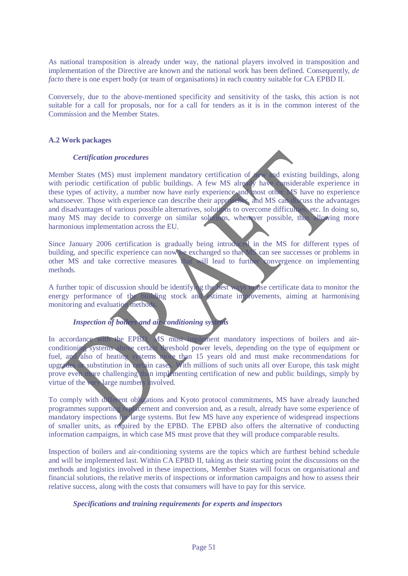As national transposition is already under way, the national players involved in transposition and implementation of the Directive are known and the national work has been defined. Consequently, *de facto* there is one expert body (or team of organisations) in each country suitable for CA EPBD II.

Conversely, due to the above-mentioned specificity and sensitivity of the tasks, this action is not suitable for a call for proposals, nor for a call for tenders as it is in the common interest of the Commission and the Member States.

# **A.2 Work packages**

# *Certification procedures*

Member States (MS) must implement mandatory certification of new and existing buildings, along with periodic certification of public buildings. A few MS already have considerable experience in these types of activity, a number now have early experience and most other MS have no experience whatsoever. Those with experience can describe their approaches, and MS can discuss the advantages and disadvantages of various possible alternatives, solutions to overcome difficulties, etc. In doing so, many MS may decide to converge on similar solutions, whenever possible, thus allowing more harmonious implementation across the EU.

Since January 2006 certification is gradually being introduced in the MS for different types of building, and specific experience can now be exchanged so that MS can see successes or problems in other MS and take corrective measures that will lead to further convergence on implementing methods.

A further topic of discussion should be identifying the best ways to use certificate data to monitor the energy performance of the building stock and estimate improvements, aiming at harmonising monitoring and evaluation methods.

# *Inspection of boilers and air-conditioning systems*

In accordance with the EPBD, MS must implement mandatory inspections of boilers and airconditioning systems above certain threshold power levels, depending on the type of equipment or fuel, and also of heating systems more than 15 years old and must make recommendations for upgrades or substitution in certain cases. With millions of such units all over Europe, this task might prove even more challenging than implementing certification of new and public buildings, simply by virtue of the very large numbers involved.

To comply with different obligations and Kyoto protocol commitments, MS have already launched programmes supporting replacement and conversion and, as a result, already have some experience of mandatory inspections for large systems. But few MS have any experience of widespread inspections of smaller units, as required by the EPBD. The EPBD also offers the alternative of conducting information campaigns, in which case MS must prove that they will produce comparable results.

Inspection of boilers and air-conditioning systems are the topics which are furthest behind schedule and will be implemented last. Within CA EPBD II, taking as their starting point the discussions on the methods and logistics involved in these inspections, Member States will focus on organisational and financial solutions, the relative merits of inspections or information campaigns and how to assess their relative success, along with the costs that consumers will have to pay for this service.

# *Specifications and training requirements for experts and inspectors*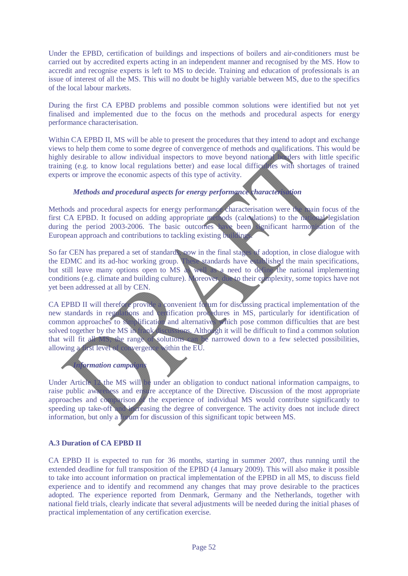Under the EPBD, certification of buildings and inspections of boilers and air-conditioners must be carried out by accredited experts acting in an independent manner and recognised by the MS. How to accredit and recognise experts is left to MS to decide. Training and education of professionals is an issue of interest of all the MS. This will no doubt be highly variable between MS, due to the specifics of the local labour markets.

During the first CA EPBD problems and possible common solutions were identified but not yet finalised and implemented due to the focus on the methods and procedural aspects for energy performance characterisation.

Within CA EPBD II, MS will be able to present the procedures that they intend to adopt and exchange views to help them come to some degree of convergence of methods and qualifications. This would be highly desirable to allow individual inspectors to move beyond national borders with little specific training (e.g. to know local regulations better) and ease local difficulties with shortages of trained experts or improve the economic aspects of this type of activity.

# *Methods and procedural aspects for energy performance characterisation*

Methods and procedural aspects for energy performance characterisation were the main focus of the first CA EPBD. It focused on adding appropriate methods (calculations) to the national legislation during the period 2003-2006. The basic outcomes have been significant harmonisation of the European approach and contributions to tackling existing building

So far CEN has prepared a set of standards, now in the final stages of adoption, in close dialogue with the EDMC and its ad-hoc working group. These standards have established the main specifications, but still leave many options open to MS as well as a need to define the national implementing conditions (e.g. climate and building culture). Moreover, due to their complexity, some topics have not yet been addressed at all by CEN.

CA EPBD II will therefore provide a convenient for um for discussing practical implementation of the new standards in regulations and certification procedures in MS, particularly for identification of common approaches to simplification and alternatives which pose common difficulties that are best solved together by the MS in frank discussions. Although it will be difficult to find a common solution that will fit all MS, the range of solutions can be narrowed down to a few selected possibilities, allowing a first level of convergence within the EU.

#### *Information campaign*

Under Article 12 the MS will be under an obligation to conduct national information campaigns, to raise public awareness and ensure acceptance of the Directive. Discussion of the most appropriate approaches and comparison of the experience of individual MS would contribute significantly to speeding up take-off and increasing the degree of convergence. The activity does not include direct information, but only a forum for discussion of this significant topic between MS.

#### **A.3 Duration of CA EPBD II**

CA EPBD II is expected to run for 36 months, starting in summer 2007, thus running until the extended deadline for full transposition of the EPBD (4 January 2009). This will also make it possible to take into account information on practical implementation of the EPBD in all MS, to discuss field experience and to identify and recommend any changes that may prove desirable to the practices adopted. The experience reported from Denmark, Germany and the Netherlands, together with national field trials, clearly indicate that several adjustments will be needed during the initial phases of practical implementation of any certification exercise.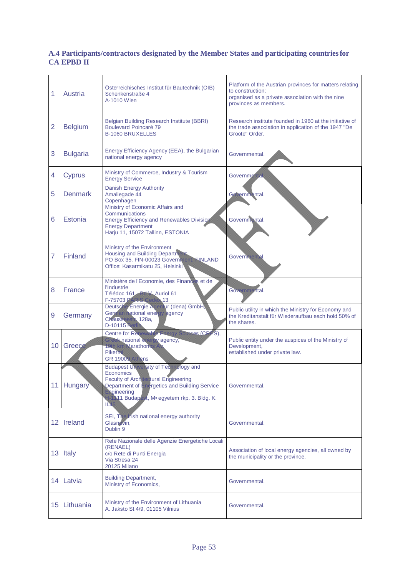# **A.4 Participants/contractors designated by the Member States and participating countries for CA EPBD II**

| 1               | Austria         | Osterreichisches Institut für Bautechnik (OIB)<br>Schenkenstraße 4<br>A-1010 Wien                                                                                                                                                        | Platform of the Austrian provinces for matters relating<br>to construction;<br>organised as a private association with the nine<br>provinces as members. |
|-----------------|-----------------|------------------------------------------------------------------------------------------------------------------------------------------------------------------------------------------------------------------------------------------|----------------------------------------------------------------------------------------------------------------------------------------------------------|
| $\overline{2}$  | <b>Belgium</b>  | <b>Belgian Building Research Institute (BBRI)</b><br><b>Boulevard Poincaré 79</b><br><b>B-1060 BRUXELLES</b>                                                                                                                             | Research institute founded in 1960 at the initiative of<br>the trade association in application of the 1947 "De<br>Groote" Order.                        |
| 3               | <b>Bulgaria</b> | Energy Efficiency Agency (EEA), the Bulgarian<br>national energy agency                                                                                                                                                                  | Governmental.                                                                                                                                            |
| 4               | <b>Cyprus</b>   | Ministry of Commerce, Industry & Tourism<br><b>Energy Service</b>                                                                                                                                                                        | Governmental.                                                                                                                                            |
| 5               | <b>Denmark</b>  | <b>Danish Energy Authority</b><br>Amaliegade 44<br>Copenhagen                                                                                                                                                                            | Governmental.                                                                                                                                            |
| 6               | Estonia         | Ministry of Economic Affairs and<br>Communications<br><b>Energy Efficiency and Renewables Division</b><br><b>Energy Department</b><br>Harju 11, 15072 Tallinn, ESTONIA                                                                   | Governmental.                                                                                                                                            |
| 7               | Finland         | Ministry of the Environment<br><b>Housing and Building Department</b><br>PO Box 35, FIN-00023 Government, FINLAND<br>Office: Kasarmikatu 25. Helsinki                                                                                    | Governmental.                                                                                                                                            |
| 8               | France          | Ministère de l'Economie, des Finances et de<br>l'Industrie<br>Télédoc 161 Bd V. Auriol 61<br>F-75703 PARIS Cedex 13                                                                                                                      | Governmental.                                                                                                                                            |
| 9               | Germany         | Deutsche Energie Agentur (dena) GmbH,<br>German national energy agency<br>Chausseestr 128a,<br><b>D-10115 Berlin</b>                                                                                                                     | Public utility in which the Ministry for Economy and<br>the Kreditanstalt für Wiederaufbau each hold 50% of<br>the shares.                               |
| 10              | Greece          | Centre for Renewable Energy Sources (CRES),<br>Greek national energy agency,<br>19th km Marathones A<br><b>Pikermi</b><br>GR 19009 Athens                                                                                                | Public entity under the auspices of the Ministry of<br>Development,<br>established under private law.                                                    |
|                 | 11 Hungary      | <b>Budapest University of Technology and</b><br><b>Economics</b><br><b>Faculty of Architectural Engineering</b><br>Department of Energetics and Building Service<br>Engineering<br>H-1111 Budapest, M. egyetem rkp. 3. Bldg. K.<br>II.45 | Governmental.                                                                                                                                            |
|                 | 12 Ireland      | SEI, The Irish national energy authority<br>Glasnevin,<br>Dublin 9                                                                                                                                                                       | Governmental.                                                                                                                                            |
| 13 <sup>°</sup> | Italy           | Rete Nazionale delle Agenzie Energetiche Locali<br>(RENAEL)<br>c/o Rete di Punti Energia<br>Via Stresa 24<br>20125 Milano                                                                                                                | Association of local energy agencies, all owned by<br>the municipality or the province.                                                                  |
| 14              | Latvia          | <b>Building Department,</b><br>Ministry of Economics,                                                                                                                                                                                    | Governmental.                                                                                                                                            |
| 15 <sub>1</sub> | Lithuania       | Ministry of the Environment of Lithuania<br>A. Jaksto St 4/9, 01105 Vilnius                                                                                                                                                              | Governmental.                                                                                                                                            |